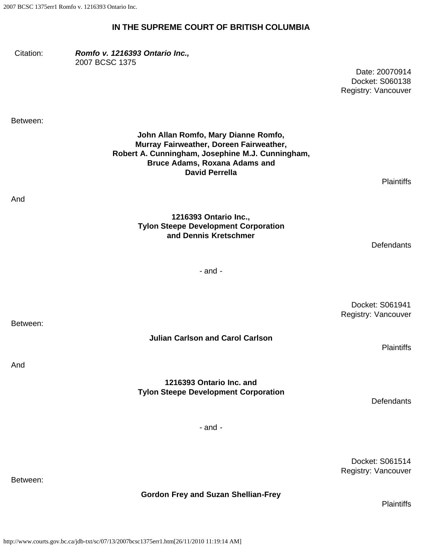## **IN THE SUPREME COURT OF BRITISH COLUMBIA**

Citation: *Romfo v. 1216393 Ontario Inc.,* 2007 BCSC 1375

> Date: 20070914 Docket: S060138 Registry: Vancouver

Between:

And

**John Allan Romfo, Mary Dianne Romfo, Murray Fairweather, Doreen Fairweather, Robert A. Cunningham, Josephine M.J. Cunningham, Bruce Adams, Roxana Adams and David Perrella**

**Plaintiffs** 

**Defendants** 

- and -

Docket: S061941 Registry: Vancouver

**Plaintiffs** 

And

#### **1216393 Ontario Inc. and Tylon Steepe Development Corporation**

**Julian Carlson and Carol Carlson**

**Defendants** 

- and -

Docket: S061514 Registry: Vancouver

Between:

#### **Gordon Frey and Suzan Shellian-Frey**

**Plaintiffs** 

**Tylon Steepe Development Corporation and Dennis Kretschmer**

**1216393 Ontario Inc.,**

Between: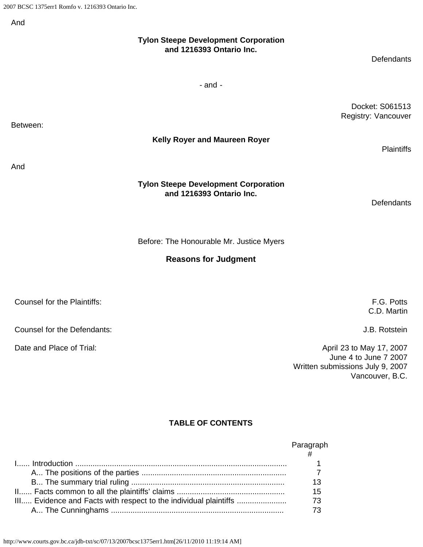And

Between:

And

| ۱nd                         |                                                                         |                                        |
|-----------------------------|-------------------------------------------------------------------------|----------------------------------------|
|                             | <b>Tylon Steepe Development Corporation</b><br>and 1216393 Ontario Inc. | Defendants                             |
|                             | $-$ and $-$                                                             |                                        |
| etween:                     |                                                                         | Docket: S061513<br>Registry: Vancouver |
|                             | Kelly Royer and Maureen Royer                                           | <b>Plaintiffs</b>                      |
| ۱nd                         |                                                                         |                                        |
|                             | <b>Tylon Steepe Development Corporation</b><br>and 1216393 Ontario Inc. | Defendants                             |
|                             | Before: The Honourable Mr. Justice Myers                                |                                        |
|                             | <b>Reasons for Judgment</b>                                             |                                        |
| Counsel for the Plaintiffs: |                                                                         | F.G. Potts<br>C.D. Martin              |

Counsel for the Defendants: J.B. Rotstein

Date and Place of Trial:  $\blacksquare$  April 23 to May 17, 2007 June 4 to June 7 2007 Written submissions July 9, 2007 Vancouver, B.C.

# **TABLE OF CONTENTS**

|                                                                  | Paragraph |
|------------------------------------------------------------------|-----------|
|                                                                  |           |
|                                                                  |           |
|                                                                  | 13        |
|                                                                  | 15        |
| III Evidence and Facts with respect to the individual plaintiffs | 73        |
|                                                                  | 73        |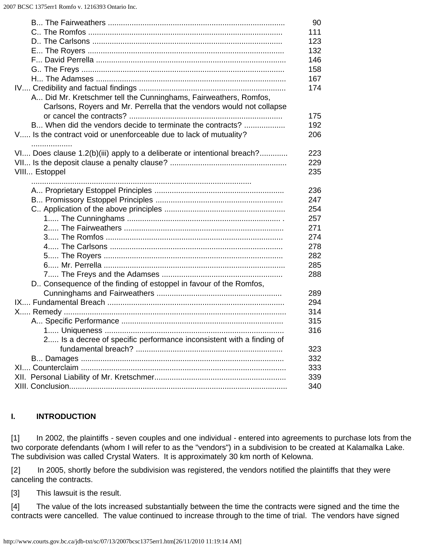|                                                                                                                                           | 90                |
|-------------------------------------------------------------------------------------------------------------------------------------------|-------------------|
|                                                                                                                                           | 111               |
|                                                                                                                                           | 123               |
|                                                                                                                                           | 132               |
|                                                                                                                                           | 146               |
|                                                                                                                                           | 158               |
|                                                                                                                                           | 167               |
|                                                                                                                                           | 174               |
| A Did Mr. Kretschmer tell the Cunninghams, Fairweathers, Romfos,<br>Carlsons, Royers and Mr. Perrella that the vendors would not collapse | 175               |
| B When did the vendors decide to terminate the contracts?                                                                                 | 192               |
| V Is the contract void or unenforceable due to lack of mutuality?                                                                         | 206               |
|                                                                                                                                           |                   |
| .<br>VI Does clause 1.2(b)(iii) apply to a deliberate or intentional breach?<br>VIII Estoppel                                             | 223<br>229<br>235 |
|                                                                                                                                           |                   |
|                                                                                                                                           | 236               |
|                                                                                                                                           | 247               |
|                                                                                                                                           | 254               |
|                                                                                                                                           | 257               |
|                                                                                                                                           | 271               |
|                                                                                                                                           | 274               |
|                                                                                                                                           | 278               |
|                                                                                                                                           | 282               |
|                                                                                                                                           | 285               |
|                                                                                                                                           | 288               |
| D Consequence of the finding of estoppel in favour of the Romfos,                                                                         |                   |
|                                                                                                                                           | 289               |
|                                                                                                                                           | 294               |
|                                                                                                                                           | 314               |
|                                                                                                                                           | 315               |
|                                                                                                                                           | 316               |
| 2 Is a decree of specific performance inconsistent with a finding of                                                                      | 323               |
|                                                                                                                                           | 332               |
|                                                                                                                                           | 333               |
|                                                                                                                                           | 339               |
|                                                                                                                                           | 340               |
|                                                                                                                                           |                   |

### **I. INTRODUCTION**

[1] In 2002, the plaintiffs - seven couples and one individual - entered into agreements to purchase lots from the two corporate defendants (whom I will refer to as the "vendors") in a subdivision to be created at Kalamalka Lake. The subdivision was called Crystal Waters. It is approximately 30 km north of Kelowna.

[2] In 2005, shortly before the subdivision was registered, the vendors notified the plaintiffs that they were canceling the contracts.

[3] This lawsuit is the result.

[4] The value of the lots increased substantially between the time the contracts were signed and the time the contracts were cancelled. The value continued to increase through to the time of trial. The vendors have signed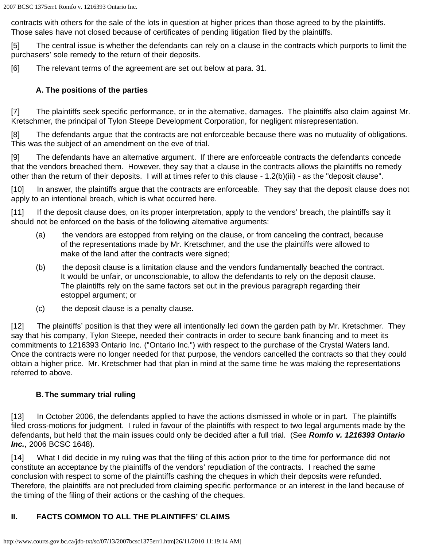contracts with others for the sale of the lots in question at higher prices than those agreed to by the plaintiffs. Those sales have not closed because of certificates of pending litigation filed by the plaintiffs.

[5] The central issue is whether the defendants can rely on a clause in the contracts which purports to limit the purchasers' sole remedy to the return of their deposits.

[6] The relevant terms of the agreement are set out below at para. 31.

#### **A. The positions of the parties**

[7] The plaintiffs seek specific performance, or in the alternative, damages. The plaintiffs also claim against Mr. Kretschmer, the principal of Tylon Steepe Development Corporation, for negligent misrepresentation.

[8] The defendants argue that the contracts are not enforceable because there was no mutuality of obligations. This was the subject of an amendment on the eve of trial.

[9] The defendants have an alternative argument. If there are enforceable contracts the defendants concede that the vendors breached them. However, they say that a clause in the contracts allows the plaintiffs no remedy other than the return of their deposits. I will at times refer to this clause - 1.2(b)(iii) - as the "deposit clause".

[10] In answer, the plaintiffs argue that the contracts are enforceable. They say that the deposit clause does not apply to an intentional breach, which is what occurred here.

[11] If the deposit clause does, on its proper interpretation, apply to the vendors' breach, the plaintiffs say it should not be enforced on the basis of the following alternative arguments:

- (a) the vendors are estopped from relying on the clause, or from canceling the contract, because of the representations made by Mr. Kretschmer, and the use the plaintiffs were allowed to make of the land after the contracts were signed;
- (b) the deposit clause is a limitation clause and the vendors fundamentally beached the contract. It would be unfair, or unconscionable, to allow the defendants to rely on the deposit clause. The plaintiffs rely on the same factors set out in the previous paragraph regarding their estoppel argument; or
- (c) the deposit clause is a penalty clause.

[12] The plaintiffs' position is that they were all intentionally led down the garden path by Mr. Kretschmer. They say that his company, Tylon Steepe, needed their contracts in order to secure bank financing and to meet its commitments to 1216393 Ontario Inc. ("Ontario Inc.") with respect to the purchase of the Crystal Waters land. Once the contracts were no longer needed for that purpose, the vendors cancelled the contracts so that they could obtain a higher price. Mr. Kretschmer had that plan in mind at the same time he was making the representations referred to above.

#### **B.The summary trial ruling**

[13] In October 2006, the defendants applied to have the actions dismissed in whole or in part. The plaintiffs filed cross-motions for judgment. I ruled in favour of the plaintiffs with respect to two legal arguments made by the defendants, but held that the main issues could only be decided after a full trial. (See *Romfo v. 1216393 Ontario Inc.*, 2006 BCSC 1648).

[14] What I did decide in my ruling was that the filing of this action prior to the time for performance did not constitute an acceptance by the plaintiffs of the vendors' repudiation of the contracts. I reached the same conclusion with respect to some of the plaintiffs cashing the cheques in which their deposits were refunded. Therefore, the plaintiffs are not precluded from claiming specific performance or an interest in the land because of the timing of the filing of their actions or the cashing of the cheques.

# **II. FACTS COMMON TO ALL THE PLAINTIFFS' CLAIMS**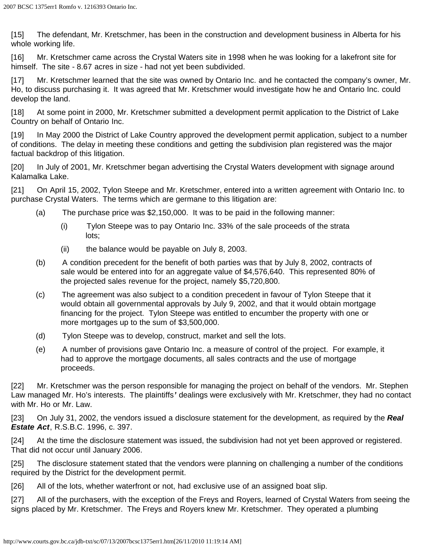[15] The defendant, Mr. Kretschmer, has been in the construction and development business in Alberta for his whole working life.

[16] Mr. Kretschmer came across the Crystal Waters site in 1998 when he was looking for a lakefront site for himself. The site - 8.67 acres in size - had not yet been subdivided.

[17] Mr. Kretschmer learned that the site was owned by Ontario Inc. and he contacted the company's owner, Mr. Ho, to discuss purchasing it. It was agreed that Mr. Kretschmer would investigate how he and Ontario Inc. could develop the land.

[18] At some point in 2000, Mr. Kretschmer submitted a development permit application to the District of Lake Country on behalf of Ontario Inc.

[19] In May 2000 the District of Lake Country approved the development permit application, subject to a number of conditions. The delay in meeting these conditions and getting the subdivision plan registered was the major factual backdrop of this litigation.

[20] In July of 2001, Mr. Kretschmer began advertising the Crystal Waters development with signage around Kalamalka Lake.

[21] On April 15, 2002, Tylon Steepe and Mr. Kretschmer, entered into a written agreement with Ontario Inc. to purchase Crystal Waters. The terms which are germane to this litigation are:

- (a) The purchase price was \$2,150,000. It was to be paid in the following manner:
	- (i) Tylon Steepe was to pay Ontario Inc. 33% of the sale proceeds of the strata lots;
	- (ii) the balance would be payable on July 8, 2003.
- (b) A condition precedent for the benefit of both parties was that by July 8, 2002, contracts of sale would be entered into for an aggregate value of \$4,576,640. This represented 80% of the projected sales revenue for the project, namely \$5,720,800.
- (c) The agreement was also subject to a condition precedent in favour of Tylon Steepe that it would obtain all governmental approvals by July 9, 2002, and that it would obtain mortgage financing for the project. Tylon Steepe was entitled to encumber the property with one or more mortgages up to the sum of \$3,500,000.
- (d) Tylon Steepe was to develop, construct, market and sell the lots.
- (e) A number of provisions gave Ontario Inc. a measure of control of the project. For example, it had to approve the mortgage documents, all sales contracts and the use of mortgage proceeds.

[22] Mr. Kretschmer was the person responsible for managing the project on behalf of the vendors. Mr. Stephen Law managed Mr. Ho's interests. The plaintiffs*'* dealings were exclusively with Mr. Kretschmer, they had no contact with Mr. Ho or Mr. Law.

[23] On July 31, 2002, the vendors issued a disclosure statement for the development, as required by the *Real Estate Act*, R.S.B.C. 1996, c. 397.

[24] At the time the disclosure statement was issued, the subdivision had not yet been approved or registered. That did not occur until January 2006.

[25] The disclosure statement stated that the vendors were planning on challenging a number of the conditions required by the District for the development permit.

[26] All of the lots, whether waterfront or not, had exclusive use of an assigned boat slip.

[27] All of the purchasers, with the exception of the Freys and Royers, learned of Crystal Waters from seeing the signs placed by Mr. Kretschmer. The Freys and Royers knew Mr. Kretschmer. They operated a plumbing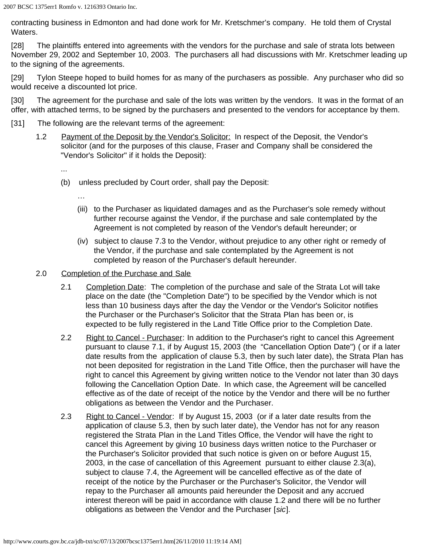contracting business in Edmonton and had done work for Mr. Kretschmer's company. He told them of Crystal Waters.

[28] The plaintiffs entered into agreements with the vendors for the purchase and sale of strata lots between November 29, 2002 and September 10, 2003. The purchasers all had discussions with Mr. Kretschmer leading up to the signing of the agreements.

[29] Tylon Steepe hoped to build homes for as many of the purchasers as possible. Any purchaser who did so would receive a discounted lot price.

[30] The agreement for the purchase and sale of the lots was written by the vendors. It was in the format of an offer, with attached terms, to be signed by the purchasers and presented to the vendors for acceptance by them.

- [31] The following are the relevant terms of the agreement:
	- 1.2 Payment of the Deposit by the Vendor's Solicitor: In respect of the Deposit, the Vendor's solicitor (and for the purposes of this clause, Fraser and Company shall be considered the "Vendor's Solicitor" if it holds the Deposit):
		- ...
		- (b) unless precluded by Court order, shall pay the Deposit:
			- …
			- (iii) to the Purchaser as liquidated damages and as the Purchaser's sole remedy without further recourse against the Vendor, if the purchase and sale contemplated by the Agreement is not completed by reason of the Vendor's default hereunder; or
			- (iv) subject to clause 7.3 to the Vendor, without prejudice to any other right or remedy of the Vendor, if the purchase and sale contemplated by the Agreement is not completed by reason of the Purchaser's default hereunder.
	- 2.0 Completion of the Purchase and Sale
		- 2.1 Completion Date: The completion of the purchase and sale of the Strata Lot will take place on the date (the "Completion Date") to be specified by the Vendor which is not less than 10 business days after the day the Vendor or the Vendor's Solicitor notifies the Purchaser or the Purchaser's Solicitor that the Strata Plan has been or, is expected to be fully registered in the Land Title Office prior to the Completion Date.
		- 2.2 Right to Cancel Purchaser: In addition to the Purchaser's right to cancel this Agreement pursuant to clause 7.1, if by August 15, 2003 (the "Cancellation Option Date") ( or if a later date results from the application of clause 5.3, then by such later date), the Strata Plan has not been deposited for registration in the Land Title Office, then the purchaser will have the right to cancel this Agreement by giving written notice to the Vendor not later than 30 days following the Cancellation Option Date. In which case, the Agreement will be cancelled effective as of the date of receipt of the notice by the Vendor and there will be no further obligations as between the Vendor and the Purchaser.
		- 2.3 Right to Cancel Vendor: If by August 15, 2003 (or if a later date results from the application of clause 5.3, then by such later date), the Vendor has not for any reason registered the Strata Plan in the Land Titles Office, the Vendor will have the right to cancel this Agreement by giving 10 business days written notice to the Purchaser or the Purchaser's Solicitor provided that such notice is given on or before August 15, 2003, in the case of cancellation of this Agreement pursuant to either clause 2.3(a), subject to clause 7.4, the Agreement will be cancelled effective as of the date of receipt of the notice by the Purchaser or the Purchaser's Solicitor, the Vendor will repay to the Purchaser all amounts paid hereunder the Deposit and any accrued interest thereon will be paid in accordance with clause 1.2 and there will be no further obligations as between the Vendor and the Purchaser [*sic*].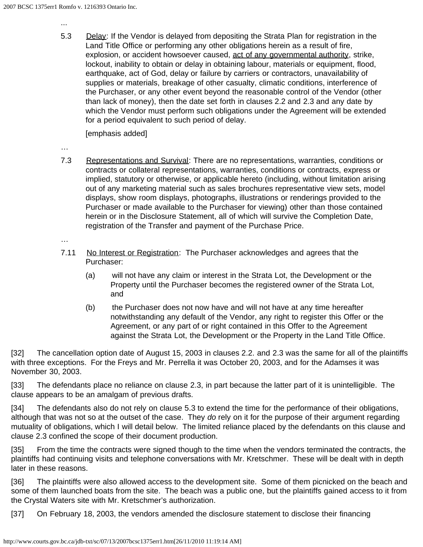...

5.3 Delay: If the Vendor is delayed from depositing the Strata Plan for registration in the Land Title Office or performing any other obligations herein as a result of fire, explosion, or accident howsoever caused, act of any governmental authority, strike, lockout, inability to obtain or delay in obtaining labour, materials or equipment, flood, earthquake, act of God, delay or failure by carriers or contractors, unavailability of supplies or materials, breakage of other casualty, climatic conditions, interference of the Purchaser, or any other event beyond the reasonable control of the Vendor (other than lack of money), then the date set forth in clauses 2.2 and 2.3 and any date by which the Vendor must perform such obligations under the Agreement will be extended for a period equivalent to such period of delay.

[emphasis added]

- …
- 7.3 Representations and Survival: There are no representations, warranties, conditions or contracts or collateral representations, warranties, conditions or contracts, express or implied, statutory or otherwise, or applicable hereto (including, without limitation arising out of any marketing material such as sales brochures representative view sets, model displays, show room displays, photographs, illustrations or renderings provided to the Purchaser or made available to the Purchaser for viewing) other than those contained herein or in the Disclosure Statement, all of which will survive the Completion Date, registration of the Transfer and payment of the Purchase Price.

…

- 7.11 No Interest or Registration: The Purchaser acknowledges and agrees that the Purchaser:
	- (a) will not have any claim or interest in the Strata Lot, the Development or the Property until the Purchaser becomes the registered owner of the Strata Lot, and
	- (b) the Purchaser does not now have and will not have at any time hereafter notwithstanding any default of the Vendor, any right to register this Offer or the Agreement, or any part of or right contained in this Offer to the Agreement against the Strata Lot, the Development or the Property in the Land Title Office.

[32] The cancellation option date of August 15, 2003 in clauses 2.2. and 2.3 was the same for all of the plaintiffs with three exceptions. For the Freys and Mr. Perrella it was October 20, 2003, and for the Adamses it was November 30, 2003.

[33] The defendants place no reliance on clause 2.3, in part because the latter part of it is unintelligible. The clause appears to be an amalgam of previous drafts.

[34] The defendants also do not rely on clause 5.3 to extend the time for the performance of their obligations, although that was not so at the outset of the case. They *do* rely on it for the purpose of their argument regarding mutuality of obligations, which I will detail below. The limited reliance placed by the defendants on this clause and clause 2.3 confined the scope of their document production.

[35] From the time the contracts were signed though to the time when the vendors terminated the contracts, the plaintiffs had continuing visits and telephone conversations with Mr. Kretschmer. These will be dealt with in depth later in these reasons.

[36] The plaintiffs were also allowed access to the development site. Some of them picnicked on the beach and some of them launched boats from the site. The beach was a public one, but the plaintiffs gained access to it from the Crystal Waters site with Mr. Kretschmer's authorization.

[37] On February 18, 2003, the vendors amended the disclosure statement to disclose their financing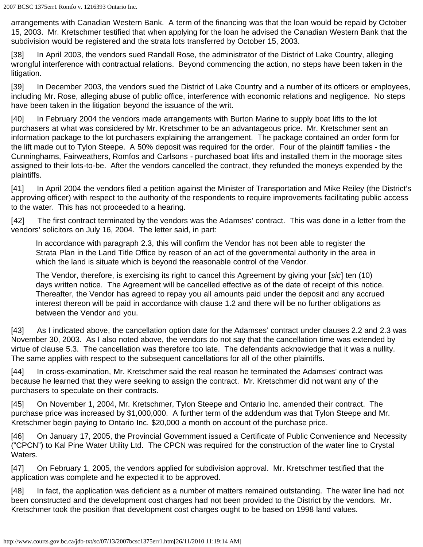arrangements with Canadian Western Bank. A term of the financing was that the loan would be repaid by October 15, 2003. Mr. Kretschmer testified that when applying for the loan he advised the Canadian Western Bank that the subdivision would be registered and the strata lots transferred by October 15, 2003.

[38] In April 2003, the vendors sued Randall Rose, the administrator of the District of Lake Country, alleging wrongful interference with contractual relations. Beyond commencing the action, no steps have been taken in the litigation.

[39] In December 2003, the vendors sued the District of Lake Country and a number of its officers or employees, including Mr. Rose, alleging abuse of public office, interference with economic relations and negligence. No steps have been taken in the litigation beyond the issuance of the writ.

[40] In February 2004 the vendors made arrangements with Burton Marine to supply boat lifts to the lot purchasers at what was considered by Mr. Kretschmer to be an advantageous price. Mr. Kretschmer sent an information package to the lot purchasers explaining the arrangement. The package contained an order form for the lift made out to Tylon Steepe. A 50% deposit was required for the order. Four of the plaintiff families - the Cunninghams, Fairweathers, Romfos and Carlsons - purchased boat lifts and installed them in the moorage sites assigned to their lots-to-be. After the vendors cancelled the contract, they refunded the moneys expended by the plaintiffs.

[41] In April 2004 the vendors filed a petition against the Minister of Transportation and Mike Reiley (the District's approving officer) with respect to the authority of the respondents to require improvements facilitating public access to the water. This has not proceeded to a hearing.

[42] The first contract terminated by the vendors was the Adamses' contract. This was done in a letter from the vendors' solicitors on July 16, 2004. The letter said, in part:

In accordance with paragraph 2.3, this will confirm the Vendor has not been able to register the Strata Plan in the Land Title Office by reason of an act of the governmental authority in the area in which the land is situate which is beyond the reasonable control of the Vendor.

The Vendor, therefore, is exercising its right to cancel this Agreement by giving your [*sic*] ten (10) days written notice. The Agreement will be cancelled effective as of the date of receipt of this notice. Thereafter, the Vendor has agreed to repay you all amounts paid under the deposit and any accrued interest thereon will be paid in accordance with clause 1.2 and there will be no further obligations as between the Vendor and you.

[43] As I indicated above, the cancellation option date for the Adamses' contract under clauses 2.2 and 2.3 was November 30, 2003. As I also noted above, the vendors do not say that the cancellation time was extended by virtue of clause 5.3. The cancellation was therefore too late. The defendants acknowledge that it was a nullity. The same applies with respect to the subsequent cancellations for all of the other plaintiffs.

[44] In cross-examination, Mr. Kretschmer said the real reason he terminated the Adamses' contract was because he learned that they were seeking to assign the contract. Mr. Kretschmer did not want any of the purchasers to speculate on their contracts.

[45] On November 1, 2004, Mr. Kretschmer, Tylon Steepe and Ontario Inc. amended their contract. The purchase price was increased by \$1,000,000. A further term of the addendum was that Tylon Steepe and Mr. Kretschmer begin paying to Ontario Inc. \$20,000 a month on account of the purchase price.

[46] On January 17, 2005, the Provincial Government issued a Certificate of Public Convenience and Necessity ("CPCN") to Kal Pine Water Utility Ltd. The CPCN was required for the construction of the water line to Crystal Waters.

[47] On February 1, 2005, the vendors applied for subdivision approval. Mr. Kretschmer testified that the application was complete and he expected it to be approved.

[48] In fact, the application was deficient as a number of matters remained outstanding. The water line had not been constructed and the development cost charges had not been provided to the District by the vendors. Mr. Kretschmer took the position that development cost charges ought to be based on 1998 land values.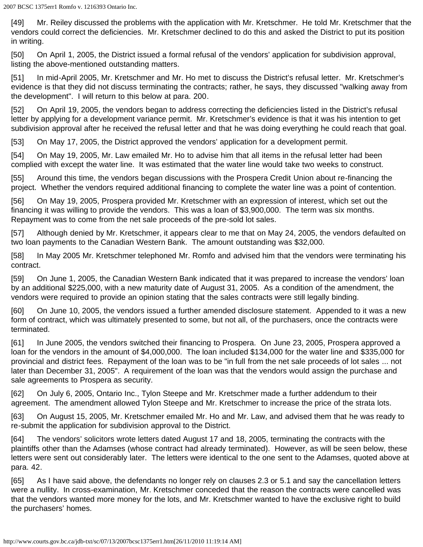[49] Mr. Reiley discussed the problems with the application with Mr. Kretschmer. He told Mr. Kretschmer that the vendors could correct the deficiencies. Mr. Kretschmer declined to do this and asked the District to put its position in writing.

[50] On April 1, 2005, the District issued a formal refusal of the vendors' application for subdivision approval, listing the above-mentioned outstanding matters.

[51] In mid-April 2005, Mr. Kretschmer and Mr. Ho met to discuss the District's refusal letter. Mr. Kretschmer's evidence is that they did not discuss terminating the contracts; rather, he says, they discussed "walking away from the development". I will return to this below at para. 200.

[52] On April 19, 2005, the vendors began to address correcting the deficiencies listed in the District's refusal letter by applying for a development variance permit. Mr. Kretschmer's evidence is that it was his intention to get subdivision approval after he received the refusal letter and that he was doing everything he could reach that goal.

[53] On May 17, 2005, the District approved the vendors' application for a development permit.

[54] On May 19, 2005, Mr. Law emailed Mr. Ho to advise him that all items in the refusal letter had been complied with except the water line. It was estimated that the water line would take two weeks to construct.

[55] Around this time, the vendors began discussions with the Prospera Credit Union about re-financing the project. Whether the vendors required additional financing to complete the water line was a point of contention.

[56] On May 19, 2005, Prospera provided Mr. Kretschmer with an expression of interest, which set out the financing it was willing to provide the vendors. This was a loan of \$3,900,000. The term was six months. Repayment was to come from the net sale proceeds of the pre-sold lot sales.

[57] Although denied by Mr. Kretschmer, it appears clear to me that on May 24, 2005, the vendors defaulted on two loan payments to the Canadian Western Bank. The amount outstanding was \$32,000.

[58] In May 2005 Mr. Kretschmer telephoned Mr. Romfo and advised him that the vendors were terminating his contract.

[59] On June 1, 2005, the Canadian Western Bank indicated that it was prepared to increase the vendors' loan by an additional \$225,000, with a new maturity date of August 31, 2005. As a condition of the amendment, the vendors were required to provide an opinion stating that the sales contracts were still legally binding.

[60] On June 10, 2005, the vendors issued a further amended disclosure statement. Appended to it was a new form of contract, which was ultimately presented to some, but not all, of the purchasers, once the contracts were terminated.

[61] In June 2005, the vendors switched their financing to Prospera. On June 23, 2005, Prospera approved a loan for the vendors in the amount of \$4,000,000. The loan included \$134,000 for the water line and \$335,000 for provincial and district fees. Repayment of the loan was to be "in full from the net sale proceeds of lot sales ... not later than December 31, 2005". A requirement of the loan was that the vendors would assign the purchase and sale agreements to Prospera as security.

[62] On July 6, 2005, Ontario Inc., Tylon Steepe and Mr. Kretschmer made a further addendum to their agreement. The amendment allowed Tylon Steepe and Mr. Kretschmer to increase the price of the strata lots.

[63] On August 15, 2005, Mr. Kretschmer emailed Mr. Ho and Mr. Law, and advised them that he was ready to re-submit the application for subdivision approval to the District.

[64] The vendors' solicitors wrote letters dated August 17 and 18, 2005, terminating the contracts with the plaintiffs other than the Adamses (whose contract had already terminated). However, as will be seen below, these letters were sent out considerably later. The letters were identical to the one sent to the Adamses, quoted above at para. 42.

[65] As I have said above, the defendants no longer rely on clauses 2.3 or 5.1 and say the cancellation letters were a nullity. In cross-examination, Mr. Kretschmer conceded that the reason the contracts were cancelled was that the vendors wanted more money for the lots, and Mr. Kretschmer wanted to have the exclusive right to build the purchasers' homes.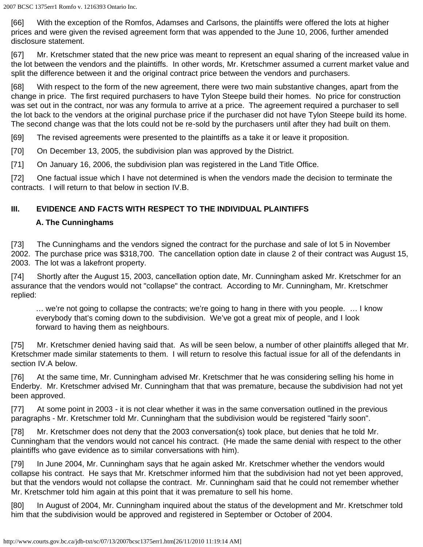[66] With the exception of the Romfos, Adamses and Carlsons, the plaintiffs were offered the lots at higher prices and were given the revised agreement form that was appended to the June 10, 2006, further amended disclosure statement.

[67] Mr. Kretschmer stated that the new price was meant to represent an equal sharing of the increased value in the lot between the vendors and the plaintiffs. In other words, Mr. Kretschmer assumed a current market value and split the difference between it and the original contract price between the vendors and purchasers.

[68] With respect to the form of the new agreement, there were two main substantive changes, apart from the change in price. The first required purchasers to have Tylon Steepe build their homes. No price for construction was set out in the contract, nor was any formula to arrive at a price. The agreement required a purchaser to sell the lot back to the vendors at the original purchase price if the purchaser did not have Tylon Steepe build its home. The second change was that the lots could not be re-sold by the purchasers until after they had built on them.

[69] The revised agreements were presented to the plaintiffs as a take it or leave it proposition.

[70] On December 13, 2005, the subdivision plan was approved by the District.

[71] On January 16, 2006, the subdivision plan was registered in the Land Title Office.

[72] One factual issue which I have not determined is when the vendors made the decision to terminate the contracts. I will return to that below in section IV.B.

# **III. EVIDENCE AND FACTS WITH RESPECT TO THE INDIVIDUAL PLAINTIFFS**

### **A. The Cunninghams**

[73] The Cunninghams and the vendors signed the contract for the purchase and sale of lot 5 in November 2002. The purchase price was \$318,700. The cancellation option date in clause 2 of their contract was August 15, 2003. The lot was a lakefront property.

[74] Shortly after the August 15, 2003, cancellation option date, Mr. Cunningham asked Mr. Kretschmer for an assurance that the vendors would not "collapse" the contract. According to Mr. Cunningham, Mr. Kretschmer replied:

… we're not going to collapse the contracts; we're going to hang in there with you people. … I know everybody that's coming down to the subdivision. We've got a great mix of people, and I look forward to having them as neighbours.

[75] Mr. Kretschmer denied having said that. As will be seen below, a number of other plaintiffs alleged that Mr. Kretschmer made similar statements to them. I will return to resolve this factual issue for all of the defendants in section IV.A below.

[76] At the same time, Mr. Cunningham advised Mr. Kretschmer that he was considering selling his home in Enderby. Mr. Kretschmer advised Mr. Cunningham that that was premature, because the subdivision had not yet been approved.

[77] At some point in 2003 - it is not clear whether it was in the same conversation outlined in the previous paragraphs - Mr. Kretschmer told Mr. Cunningham that the subdivision would be registered "fairly soon".

[78] Mr. Kretschmer does not deny that the 2003 conversation(s) took place, but denies that he told Mr. Cunningham that the vendors would not cancel his contract. (He made the same denial with respect to the other plaintiffs who gave evidence as to similar conversations with him).

[79] In June 2004, Mr. Cunningham says that he again asked Mr. Kretschmer whether the vendors would collapse his contract. He says that Mr. Kretschmer informed him that the subdivision had not yet been approved, but that the vendors would not collapse the contract. Mr. Cunningham said that he could not remember whether Mr. Kretschmer told him again at this point that it was premature to sell his home.

[80] In August of 2004, Mr. Cunningham inquired about the status of the development and Mr. Kretschmer told him that the subdivision would be approved and registered in September or October of 2004.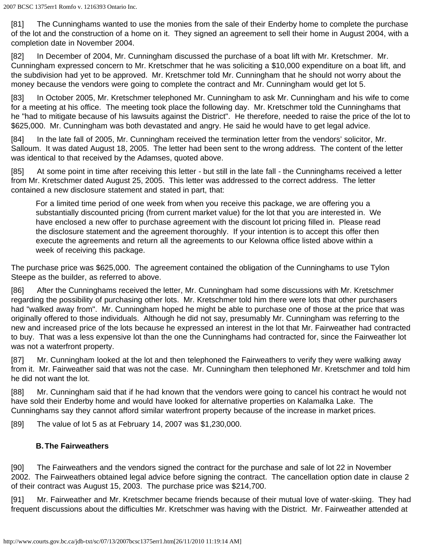[81] The Cunninghams wanted to use the monies from the sale of their Enderby home to complete the purchase of the lot and the construction of a home on it. They signed an agreement to sell their home in August 2004, with a completion date in November 2004.

[82] In December of 2004, Mr. Cunningham discussed the purchase of a boat lift with Mr. Kretschmer. Mr. Cunningham expressed concern to Mr. Kretschmer that he was soliciting a \$10,000 expenditure on a boat lift, and the subdivision had yet to be approved. Mr. Kretschmer told Mr. Cunningham that he should not worry about the money because the vendors were going to complete the contract and Mr. Cunningham would get lot 5.

[83] In October 2005, Mr. Kretschmer telephoned Mr. Cunningham to ask Mr. Cunningham and his wife to come for a meeting at his office. The meeting took place the following day. Mr. Kretschmer told the Cunninghams that he "had to mitigate because of his lawsuits against the District". He therefore, needed to raise the price of the lot to \$625,000. Mr. Cunningham was both devastated and angry. He said he would have to get legal advice.

[84] In the late fall of 2005, Mr. Cunningham received the termination letter from the vendors' solicitor, Mr. Salloum. It was dated August 18, 2005. The letter had been sent to the wrong address. The content of the letter was identical to that received by the Adamses, quoted above.

[85] At some point in time after receiving this letter - but still in the late fall - the Cunninghams received a letter from Mr. Kretschmer dated August 25, 2005. This letter was addressed to the correct address. The letter contained a new disclosure statement and stated in part, that:

For a limited time period of one week from when you receive this package, we are offering you a substantially discounted pricing (from current market value) for the lot that you are interested in. We have enclosed a new offer to purchase agreement with the discount lot pricing filled in. Please read the disclosure statement and the agreement thoroughly. If your intention is to accept this offer then execute the agreements and return all the agreements to our Kelowna office listed above within a week of receiving this package.

The purchase price was \$625,000. The agreement contained the obligation of the Cunninghams to use Tylon Steepe as the builder, as referred to above.

[86] After the Cunninghams received the letter, Mr. Cunningham had some discussions with Mr. Kretschmer regarding the possibility of purchasing other lots. Mr. Kretschmer told him there were lots that other purchasers had "walked away from". Mr. Cunningham hoped he might be able to purchase one of those at the price that was originally offered to those individuals. Although he did not say, presumably Mr. Cunningham was referring to the new and increased price of the lots because he expressed an interest in the lot that Mr. Fairweather had contracted to buy. That was a less expensive lot than the one the Cunninghams had contracted for, since the Fairweather lot was not a waterfront property.

[87] Mr. Cunningham looked at the lot and then telephoned the Fairweathers to verify they were walking away from it. Mr. Fairweather said that was not the case. Mr. Cunningham then telephoned Mr. Kretschmer and told him he did not want the lot.

[88] Mr. Cunningham said that if he had known that the vendors were going to cancel his contract he would not have sold their Enderby home and would have looked for alternative properties on Kalamalka Lake. The Cunninghams say they cannot afford similar waterfront property because of the increase in market prices.

[89] The value of lot 5 as at February 14, 2007 was \$1,230,000.

# **B.The Fairweathers**

[90] The Fairweathers and the vendors signed the contract for the purchase and sale of lot 22 in November 2002. The Fairweathers obtained legal advice before signing the contract. The cancellation option date in clause 2 of their contract was August 15, 2003. The purchase price was \$214,700.

[91] Mr. Fairweather and Mr. Kretschmer became friends because of their mutual love of water-skiing. They had frequent discussions about the difficulties Mr. Kretschmer was having with the District. Mr. Fairweather attended at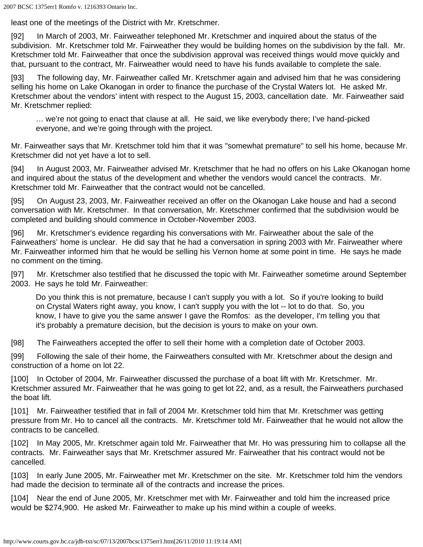least one of the meetings of the District with Mr. Kretschmer.

[92] In March of 2003, Mr. Fairweather telephoned Mr. Kretschmer and inquired about the status of the subdivision. Mr. Kretschmer told Mr. Fairweather they would be building homes on the subdivision by the fall. Mr. Kretschmer told Mr. Fairweather that once the subdivision approval was received things would move quickly and that, pursuant to the contract, Mr. Fairweather would need to have his funds available to complete the sale.

[93] The following day, Mr. Fairweather called Mr. Kretschmer again and advised him that he was considering selling his home on Lake Okanogan in order to finance the purchase of the Crystal Waters lot. He asked Mr. Kretschmer about the vendors' intent with respect to the August 15, 2003, cancellation date. Mr. Fairweather said Mr. Kretschmer replied:

… we're not going to enact that clause at all. He said, we like everybody there; I've hand-picked everyone, and we're going through with the project.

Mr. Fairweather says that Mr. Kretschmer told him that it was "somewhat premature" to sell his home, because Mr. Kretschmer did not yet have a lot to sell.

[94] In August 2003, Mr. Fairweather advised Mr. Kretschmer that he had no offers on his Lake Okanogan home and inquired about the status of the development and whether the vendors would cancel the contracts. Mr. Kretschmer told Mr. Fairweather that the contract would not be cancelled.

[95] On August 23, 2003, Mr. Fairweather received an offer on the Okanogan Lake house and had a second conversation with Mr. Kretschmer. In that conversation, Mr. Kretschmer confirmed that the subdivision would be completed and building should commence in October-November 2003.

[96] Mr. Kretschmer's evidence regarding his conversations with Mr. Fairweather about the sale of the Fairweathers' home is unclear. He did say that he had a conversation in spring 2003 with Mr. Fairweather where Mr. Fairweather informed him that he would be selling his Vernon home at some point in time. He says he made no comment on the timing.

[97] Mr. Kretschmer also testified that he discussed the topic with Mr. Fairweather sometime around September 2003. He says he told Mr. Fairweather:

Do you think this is not premature, because I can't supply you with a lot. So if you're looking to build on Crystal Waters right away, you know, I can't supply you with the lot -- lot to do that. So, you know, I have to give you the same answer I gave the Romfos: as the developer, I'm telling you that it's probably a premature decision, but the decision is yours to make on your own.

[98] The Fairweathers accepted the offer to sell their home with a completion date of October 2003.

[99] Following the sale of their home, the Fairweathers consulted with Mr. Kretschmer about the design and construction of a home on lot 22.

[100] In October of 2004, Mr. Fairweather discussed the purchase of a boat lift with Mr. Kretschmer. Mr. Kretschmer assured Mr. Fairweather that he was going to get lot 22, and, as a result, the Fairweathers purchased the boat lift.

[101] Mr. Fairweather testified that in fall of 2004 Mr. Kretschmer told him that Mr. Kretschmer was getting pressure from Mr. Ho to cancel all the contracts. Mr. Kretschmer told Mr. Fairweather that he would not allow the contracts to be cancelled.

[102] In May 2005, Mr. Kretschmer again told Mr. Fairweather that Mr. Ho was pressuring him to collapse all the contracts. Mr. Fairweather says that Mr. Kretschmer assured Mr. Fairweather that his contract would not be cancelled.

[103] In early June 2005, Mr. Fairweather met Mr. Kretschmer on the site. Mr. Kretschmer told him the vendors had made the decision to terminate all of the contracts and increase the prices.

[104] Near the end of June 2005, Mr. Kretschmer met with Mr. Fairweather and told him the increased price would be \$274,900. He asked Mr. Fairweather to make up his mind within a couple of weeks.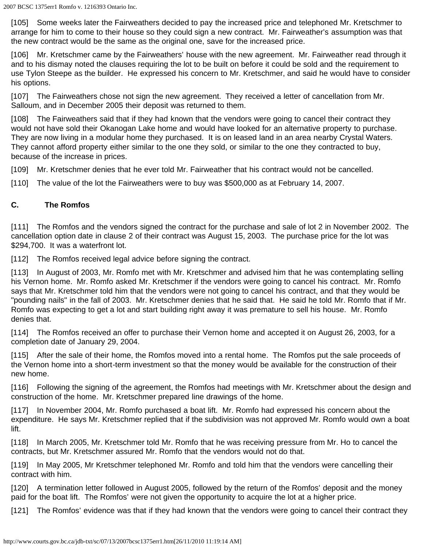[105] Some weeks later the Fairweathers decided to pay the increased price and telephoned Mr. Kretschmer to arrange for him to come to their house so they could sign a new contract. Mr. Fairweather's assumption was that the new contract would be the same as the original one, save for the increased price.

[106] Mr. Kretschmer came by the Fairweathers' house with the new agreement. Mr. Fairweather read through it and to his dismay noted the clauses requiring the lot to be built on before it could be sold and the requirement to use Tylon Steepe as the builder. He expressed his concern to Mr. Kretschmer, and said he would have to consider his options.

[107] The Fairweathers chose not sign the new agreement. They received a letter of cancellation from Mr. Salloum, and in December 2005 their deposit was returned to them.

[108] The Fairweathers said that if they had known that the vendors were going to cancel their contract they would not have sold their Okanogan Lake home and would have looked for an alternative property to purchase. They are now living in a modular home they purchased. It is on leased land in an area nearby Crystal Waters. They cannot afford property either similar to the one they sold, or similar to the one they contracted to buy, because of the increase in prices.

[109] Mr. Kretschmer denies that he ever told Mr. Fairweather that his contract would not be cancelled.

[110] The value of the lot the Fairweathers were to buy was \$500,000 as at February 14, 2007.

### **C. The Romfos**

[111] The Romfos and the vendors signed the contract for the purchase and sale of lot 2 in November 2002. The cancellation option date in clause 2 of their contract was August 15, 2003. The purchase price for the lot was \$294,700. It was a waterfront lot.

[112] The Romfos received legal advice before signing the contract.

[113] In August of 2003, Mr. Romfo met with Mr. Kretschmer and advised him that he was contemplating selling his Vernon home. Mr. Romfo asked Mr. Kretschmer if the vendors were going to cancel his contract. Mr. Romfo says that Mr. Kretschmer told him that the vendors were not going to cancel his contract, and that they would be "pounding nails" in the fall of 2003. Mr. Kretschmer denies that he said that. He said he told Mr. Romfo that if Mr. Romfo was expecting to get a lot and start building right away it was premature to sell his house. Mr. Romfo denies that.

[114] The Romfos received an offer to purchase their Vernon home and accepted it on August 26, 2003, for a completion date of January 29, 2004.

[115] After the sale of their home, the Romfos moved into a rental home. The Romfos put the sale proceeds of the Vernon home into a short-term investment so that the money would be available for the construction of their new home.

[116] Following the signing of the agreement, the Romfos had meetings with Mr. Kretschmer about the design and construction of the home. Mr. Kretschmer prepared line drawings of the home.

[117] In November 2004, Mr. Romfo purchased a boat lift. Mr. Romfo had expressed his concern about the expenditure. He says Mr. Kretschmer replied that if the subdivision was not approved Mr. Romfo would own a boat lift.

[118] In March 2005, Mr. Kretschmer told Mr. Romfo that he was receiving pressure from Mr. Ho to cancel the contracts, but Mr. Kretschmer assured Mr. Romfo that the vendors would not do that.

[119] In May 2005, Mr Kretschmer telephoned Mr. Romfo and told him that the vendors were cancelling their contract with him.

[120] A termination letter followed in August 2005, followed by the return of the Romfos' deposit and the money paid for the boat lift. The Romfos' were not given the opportunity to acquire the lot at a higher price.

[121] The Romfos' evidence was that if they had known that the vendors were going to cancel their contract they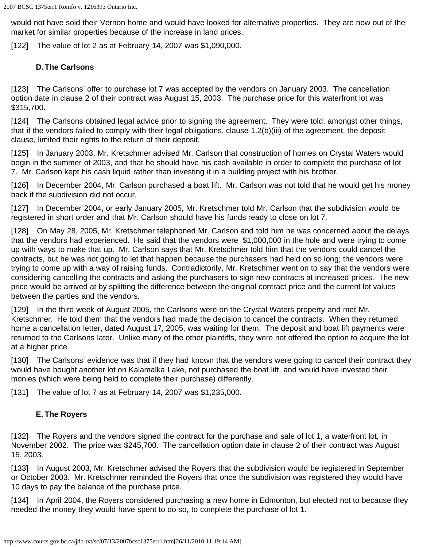would not have sold their Vernon home and would have looked for alternative properties. They are now out of the market for similar properties because of the increase in land prices.

[122] The value of lot 2 as at February 14, 2007 was \$1,090,000.

## **D.The Carlsons**

[123] The Carlsons' offer to purchase lot 7 was accepted by the vendors on January 2003. The cancellation option date in clause 2 of their contract was August 15, 2003. The purchase price for this waterfront lot was \$315,700.

[124] The Carlsons obtained legal advice prior to signing the agreement. They were told, amongst other things, that if the vendors failed to comply with their legal obligations, clause 1.2(b)(iii) of the agreement, the deposit clause, limited their rights to the return of their deposit.

[125] In January 2003, Mr. Kretschmer advised Mr. Carlson that construction of homes on Crystal Waters would begin in the summer of 2003, and that he should have his cash available in order to complete the purchase of lot 7. Mr. Carlson kept his cash liquid rather than investing it in a building project with his brother.

[126] In December 2004, Mr. Carlson purchased a boat lift. Mr. Carlson was not told that he would get his money back if the subdivision did not occur.

[127] In December 2004, or early January 2005, Mr. Kretschmer told Mr. Carlson that the subdivision would be registered in short order and that Mr. Carlson should have his funds ready to close on lot 7.

[128] On May 28, 2005, Mr. Kretschmer telephoned Mr. Carlson and told him he was concerned about the delays that the vendors had experienced. He said that the vendors were \$1,000,000 in the hole and were trying to come up with ways to make that up. Mr. Carlson says that Mr. Kretschmer told him that the vendors could cancel the contracts, but he was not going to let that happen because the purchasers had held on so long; the vendors were trying to come up with a way of raising funds. Contradictorily, Mr. Kretschmer went on to say that the vendors were considering cancelling the contracts and asking the purchasers to sign new contracts at increased prices. The new price would be arrived at by splitting the difference between the original contract price and the current lot values between the parties and the vendors.

[129] In the third week of August 2005, the Carlsons were on the Crystal Waters property and met Mr. Kretschmer. He told them that the vendors had made the decision to cancel the contracts. When they returned home a cancellation letter, dated August 17, 2005, was waiting for them. The deposit and boat lift payments were returned to the Carlsons later. Unlike many of the other plaintiffs, they were not offered the option to acquire the lot at a higher price.

[130] The Carlsons' evidence was that if they had known that the vendors were going to cancel their contract they would have bought another lot on Kalamalka Lake, not purchased the boat lift, and would have invested their monies (which were being held to complete their purchase) differently.

[131] The value of lot 7 as at February 14, 2007 was \$1,235,000.

# **E. The Royers**

[132] The Royers and the vendors signed the contract for the purchase and sale of lot 1, a waterfront lot, in November 2002. The price was \$245,700. The cancellation option date in clause 2 of their contract was August 15, 2003.

[133] In August 2003, Mr. Kretschmer advised the Royers that the subdivision would be registered in September or October 2003. Mr. Kretschmer reminded the Royers that once the subdivision was registered they would have 10 days to pay the balance of the purchase price.

[134] In April 2004, the Royers considered purchasing a new home in Edmonton, but elected not to because they needed the money they would have spent to do so, to complete the purchase of lot 1.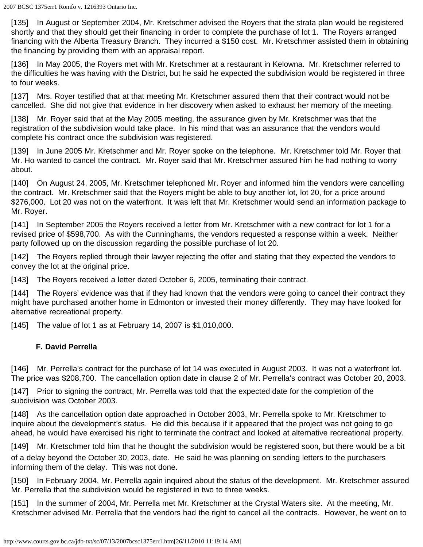[135] In August or September 2004, Mr. Kretschmer advised the Royers that the strata plan would be registered shortly and that they should get their financing in order to complete the purchase of lot 1. The Royers arranged financing with the Alberta Treasury Branch. They incurred a \$150 cost. Mr. Kretschmer assisted them in obtaining the financing by providing them with an appraisal report.

[136] In May 2005, the Royers met with Mr. Kretschmer at a restaurant in Kelowna. Mr. Kretschmer referred to the difficulties he was having with the District, but he said he expected the subdivision would be registered in three to four weeks.

[137] Mrs. Royer testified that at that meeting Mr. Kretschmer assured them that their contract would not be cancelled. She did not give that evidence in her discovery when asked to exhaust her memory of the meeting.

[138] Mr. Royer said that at the May 2005 meeting, the assurance given by Mr. Kretschmer was that the registration of the subdivision would take place. In his mind that was an assurance that the vendors would complete his contract once the subdivision was registered.

[139] In June 2005 Mr. Kretschmer and Mr. Royer spoke on the telephone. Mr. Kretschmer told Mr. Royer that Mr. Ho wanted to cancel the contract. Mr. Royer said that Mr. Kretschmer assured him he had nothing to worry about.

[140] On August 24, 2005, Mr. Kretschmer telephoned Mr. Royer and informed him the vendors were cancelling the contract. Mr. Kretschmer said that the Royers might be able to buy another lot, lot 20, for a price around \$276,000. Lot 20 was not on the waterfront. It was left that Mr. Kretschmer would send an information package to Mr. Royer.

[141] In September 2005 the Royers received a letter from Mr. Kretschmer with a new contract for lot 1 for a revised price of \$598,700. As with the Cunninghams, the vendors requested a response within a week. Neither party followed up on the discussion regarding the possible purchase of lot 20.

[142] The Royers replied through their lawyer rejecting the offer and stating that they expected the vendors to convey the lot at the original price.

[143] The Royers received a letter dated October 6, 2005, terminating their contract.

[144] The Royers' evidence was that if they had known that the vendors were going to cancel their contract they might have purchased another home in Edmonton or invested their money differently. They may have looked for alternative recreational property.

[145] The value of lot 1 as at February 14, 2007 is \$1,010,000.

### **F. David Perrella**

[146] Mr. Perrella's contract for the purchase of lot 14 was executed in August 2003. It was not a waterfront lot. The price was \$208,700. The cancellation option date in clause 2 of Mr. Perrella's contract was October 20, 2003.

[147] Prior to signing the contract, Mr. Perrella was told that the expected date for the completion of the subdivision was October 2003.

[148] As the cancellation option date approached in October 2003, Mr. Perrella spoke to Mr. Kretschmer to inquire about the development's status. He did this because if it appeared that the project was not going to go ahead, he would have exercised his right to terminate the contract and looked at alternative recreational property.

[149] Mr. Kretschmer told him that he thought the subdivision would be registered soon, but there would be a bit of a delay beyond the October 30, 2003, date. He said he was planning on sending letters to the purchasers informing them of the delay. This was not done.

[150] In February 2004, Mr. Perrella again inquired about the status of the development. Mr. Kretschmer assured Mr. Perrella that the subdivision would be registered in two to three weeks.

[151] In the summer of 2004, Mr. Perrella met Mr. Kretschmer at the Crystal Waters site. At the meeting, Mr. Kretschmer advised Mr. Perrella that the vendors had the right to cancel all the contracts. However, he went on to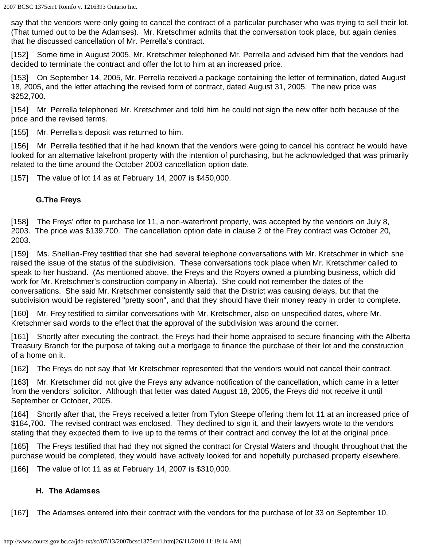say that the vendors were only going to cancel the contract of a particular purchaser who was trying to sell their lot. (That turned out to be the Adamses). Mr. Kretschmer admits that the conversation took place, but again denies that he discussed cancellation of Mr. Perrella's contract.

[152] Some time in August 2005, Mr. Kretschmer telephoned Mr. Perrella and advised him that the vendors had decided to terminate the contract and offer the lot to him at an increased price.

[153] On September 14, 2005, Mr. Perrella received a package containing the letter of termination, dated August 18, 2005, and the letter attaching the revised form of contract, dated August 31, 2005. The new price was \$252,700.

[154] Mr. Perrella telephoned Mr. Kretschmer and told him he could not sign the new offer both because of the price and the revised terms.

[155] Mr. Perrella's deposit was returned to him.

[156] Mr. Perrella testified that if he had known that the vendors were going to cancel his contract he would have looked for an alternative lakefront property with the intention of purchasing, but he acknowledged that was primarily related to the time around the October 2003 cancellation option date.

[157] The value of lot 14 as at February 14, 2007 is \$450,000.

## **G.The Freys**

[158] The Freys' offer to purchase lot 11, a non-waterfront property, was accepted by the vendors on July 8, 2003. The price was \$139,700. The cancellation option date in clause 2 of the Frey contract was October 20, 2003.

[159] Ms. Shellian-Frey testified that she had several telephone conversations with Mr. Kretschmer in which she raised the issue of the status of the subdivision. These conversations took place when Mr. Kretschmer called to speak to her husband. (As mentioned above, the Freys and the Royers owned a plumbing business, which did work for Mr. Kretschmer's construction company in Alberta). She could not remember the dates of the conversations. She said Mr. Kretschmer consistently said that the District was causing delays, but that the subdivision would be registered "pretty soon", and that they should have their money ready in order to complete.

[160] Mr. Frey testified to similar conversations with Mr. Kretschmer, also on unspecified dates, where Mr. Kretschmer said words to the effect that the approval of the subdivision was around the corner.

[161] Shortly after executing the contract, the Freys had their home appraised to secure financing with the Alberta Treasury Branch for the purpose of taking out a mortgage to finance the purchase of their lot and the construction of a home on it.

[162] The Freys do not say that Mr Kretschmer represented that the vendors would not cancel their contract.

[163] Mr. Kretschmer did not give the Freys any advance notification of the cancellation, which came in a letter from the vendors' solicitor. Although that letter was dated August 18, 2005, the Freys did not receive it until September or October, 2005.

[164] Shortly after that, the Freys received a letter from Tylon Steepe offering them lot 11 at an increased price of \$184,700. The revised contract was enclosed. They declined to sign it, and their lawyers wrote to the vendors stating that they expected them to live up to the terms of their contract and convey the lot at the original price.

[165] The Freys testified that had they not signed the contract for Crystal Waters and thought throughout that the purchase would be completed, they would have actively looked for and hopefully purchased property elsewhere.

[166] The value of lot 11 as at February 14, 2007 is \$310,000.

### **H. The Adamses**

[167] The Adamses entered into their contract with the vendors for the purchase of lot 33 on September 10,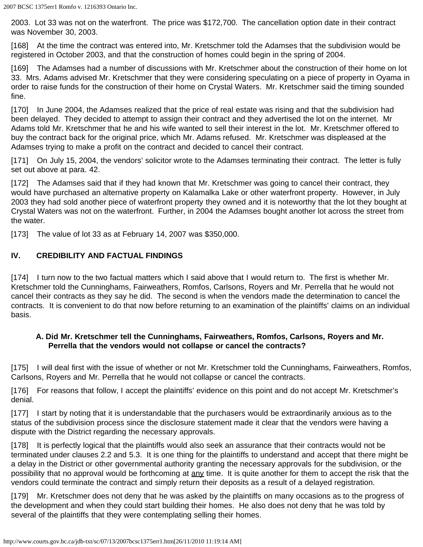2003. Lot 33 was not on the waterfront. The price was \$172,700. The cancellation option date in their contract was November 30, 2003.

[168] At the time the contract was entered into, Mr. Kretschmer told the Adamses that the subdivision would be registered in October 2003, and that the construction of homes could begin in the spring of 2004.

[169] The Adamses had a number of discussions with Mr. Kretschmer about the construction of their home on lot 33. Mrs. Adams advised Mr. Kretschmer that they were considering speculating on a piece of property in Oyama in order to raise funds for the construction of their home on Crystal Waters. Mr. Kretschmer said the timing sounded fine.

[170] In June 2004, the Adamses realized that the price of real estate was rising and that the subdivision had been delayed. They decided to attempt to assign their contract and they advertised the lot on the internet. Mr Adams told Mr. Kretschmer that he and his wife wanted to sell their interest in the lot. Mr. Kretschmer offered to buy the contract back for the original price, which Mr. Adams refused. Mr. Kretschmer was displeased at the Adamses trying to make a profit on the contract and decided to cancel their contract.

[171] On July 15, 2004, the vendors' solicitor wrote to the Adamses terminating their contract. The letter is fully set out above at para. 42.

[172] The Adamses said that if they had known that Mr. Kretschmer was going to cancel their contract, they would have purchased an alternative property on Kalamalka Lake or other waterfront property. However, in July 2003 they had sold another piece of waterfront property they owned and it is noteworthy that the lot they bought at Crystal Waters was not on the waterfront. Further, in 2004 the Adamses bought another lot across the street from the water.

[173] The value of lot 33 as at February 14, 2007 was \$350,000.

# **IV. CREDIBILITY AND FACTUAL FINDINGS**

[174] I turn now to the two factual matters which I said above that I would return to. The first is whether Mr. Kretschmer told the Cunninghams, Fairweathers, Romfos, Carlsons, Royers and Mr. Perrella that he would not cancel their contracts as they say he did. The second is when the vendors made the determination to cancel the contracts. It is convenient to do that now before returning to an examination of the plaintiffs' claims on an individual basis.

### **A. Did Mr. Kretschmer tell the Cunninghams, Fairweathers, Romfos, Carlsons, Royers and Mr. Perrella that the vendors would not collapse or cancel the contracts?**

[175] I will deal first with the issue of whether or not Mr. Kretschmer told the Cunninghams, Fairweathers, Romfos, Carlsons, Royers and Mr. Perrella that he would not collapse or cancel the contracts.

[176] For reasons that follow, I accept the plaintiffs' evidence on this point and do not accept Mr. Kretschmer's denial.

[177] I start by noting that it is understandable that the purchasers would be extraordinarily anxious as to the status of the subdivision process since the disclosure statement made it clear that the vendors were having a dispute with the District regarding the necessary approvals.

[178] It is perfectly logical that the plaintiffs would also seek an assurance that their contracts would not be terminated under clauses 2.2 and 5.3. It is one thing for the plaintiffs to understand and accept that there might be a delay in the District or other governmental authority granting the necessary approvals for the subdivision, or the possibility that no approval would be forthcoming at any time. It is quite another for them to accept the risk that the vendors could terminate the contract and simply return their deposits as a result of a delayed registration.

[179] Mr. Kretschmer does not deny that he was asked by the plaintiffs on many occasions as to the progress of the development and when they could start building their homes. He also does not deny that he was told by several of the plaintiffs that they were contemplating selling their homes.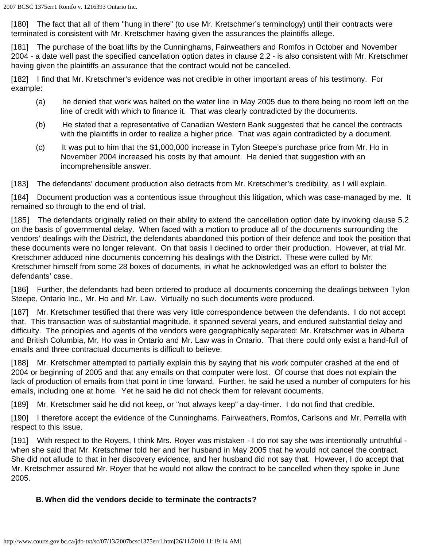[180] The fact that all of them "hung in there" (to use Mr. Kretschmer's terminology) until their contracts were terminated is consistent with Mr. Kretschmer having given the assurances the plaintiffs allege.

[181] The purchase of the boat lifts by the Cunninghams, Fairweathers and Romfos in October and November 2004 - a date well past the specified cancellation option dates in clause 2.2 - is also consistent with Mr. Kretschmer having given the plaintiffs an assurance that the contract would not be cancelled.

[182] I find that Mr. Kretschmer's evidence was not credible in other important areas of his testimony. For example:

- (a) he denied that work was halted on the water line in May 2005 due to there being no room left on the line of credit with which to finance it. That was clearly contradicted by the documents.
- (b) He stated that a representative of Canadian Western Bank suggested that he cancel the contracts with the plaintiffs in order to realize a higher price. That was again contradicted by a document.
- (c) It was put to him that the \$1,000,000 increase in Tylon Steepe's purchase price from Mr. Ho in November 2004 increased his costs by that amount. He denied that suggestion with an incomprehensible answer.

[183] The defendants' document production also detracts from Mr. Kretschmer's credibility, as I will explain.

[184] Document production was a contentious issue throughout this litigation, which was case-managed by me. It remained so through to the end of trial.

[185] The defendants originally relied on their ability to extend the cancellation option date by invoking clause 5.2 on the basis of governmental delay. When faced with a motion to produce all of the documents surrounding the vendors' dealings with the District, the defendants abandoned this portion of their defence and took the position that these documents were no longer relevant. On that basis I declined to order their production. However, at trial Mr. Kretschmer adduced nine documents concerning his dealings with the District. These were culled by Mr. Kretschmer himself from some 28 boxes of documents, in what he acknowledged was an effort to bolster the defendants' case.

[186] Further, the defendants had been ordered to produce all documents concerning the dealings between Tylon Steepe, Ontario Inc., Mr. Ho and Mr. Law. Virtually no such documents were produced.

[187] Mr. Kretschmer testified that there was very little correspondence between the defendants. I do not accept that. This transaction was of substantial magnitude, it spanned several years, and endured substantial delay and difficulty. The principles and agents of the vendors were geographically separated: Mr. Kretschmer was in Alberta and British Columbia, Mr. Ho was in Ontario and Mr. Law was in Ontario. That there could only exist a hand-full of emails and three contractual documents is difficult to believe.

[188] Mr. Kretschmer attempted to partially explain this by saying that his work computer crashed at the end of 2004 or beginning of 2005 and that any emails on that computer were lost. Of course that does not explain the lack of production of emails from that point in time forward. Further, he said he used a number of computers for his emails, including one at home. Yet he said he did not check them for relevant documents.

[189] Mr. Kretschmer said he did not keep, or "not always keep" a day-timer. I do not find that credible.

[190] I therefore accept the evidence of the Cunninghams, Fairweathers, Romfos, Carlsons and Mr. Perrella with respect to this issue.

[191] With respect to the Royers, I think Mrs. Royer was mistaken - I do not say she was intentionally untruthful when she said that Mr. Kretschmer told her and her husband in May 2005 that he would not cancel the contract. She did not allude to that in her discovery evidence, and her husband did not say that. However, I do accept that Mr. Kretschmer assured Mr. Royer that he would not allow the contract to be cancelled when they spoke in June 2005.

### **B.When did the vendors decide to terminate the contracts?**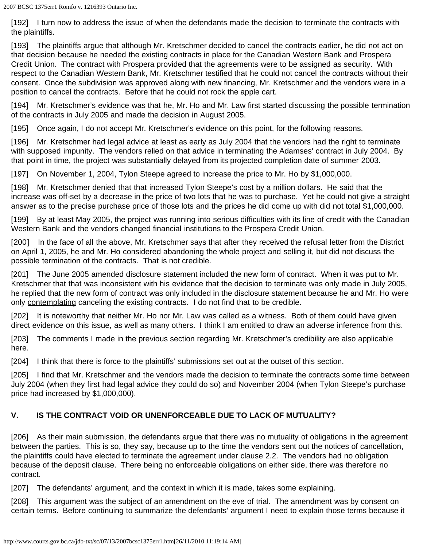[192] I turn now to address the issue of when the defendants made the decision to terminate the contracts with the plaintiffs.

[193] The plaintiffs argue that although Mr. Kretschmer decided to cancel the contracts earlier, he did not act on that decision because he needed the existing contracts in place for the Canadian Western Bank and Prospera Credit Union. The contract with Prospera provided that the agreements were to be assigned as security. With respect to the Canadian Western Bank, Mr. Kretschmer testified that he could not cancel the contracts without their consent. Once the subdivision was approved along with new financing, Mr. Kretschmer and the vendors were in a position to cancel the contracts. Before that he could not rock the apple cart.

[194] Mr. Kretschmer's evidence was that he, Mr. Ho and Mr. Law first started discussing the possible termination of the contracts in July 2005 and made the decision in August 2005.

[195] Once again, I do not accept Mr. Kretschmer's evidence on this point, for the following reasons.

[196] Mr. Kretschmer had legal advice at least as early as July 2004 that the vendors had the right to terminate with supposed impunity. The vendors relied on that advice in terminating the Adamses' contract in July 2004. By that point in time, the project was substantially delayed from its projected completion date of summer 2003.

[197] On November 1, 2004, Tylon Steepe agreed to increase the price to Mr. Ho by \$1,000,000.

[198] Mr. Kretschmer denied that that increased Tylon Steepe's cost by a million dollars. He said that the increase was off-set by a decrease in the price of two lots that he was to purchase. Yet he could not give a straight answer as to the precise purchase price of those lots and the prices he did come up with did not total \$1,000,000.

[199] By at least May 2005, the project was running into serious difficulties with its line of credit with the Canadian Western Bank and the vendors changed financial institutions to the Prospera Credit Union.

[200] In the face of all the above, Mr. Kretschmer says that after they received the refusal letter from the District on April 1, 2005, he and Mr. Ho considered abandoning the whole project and selling it, but did not discuss the possible termination of the contracts. That is not credible.

[201] The June 2005 amended disclosure statement included the new form of contract. When it was put to Mr. Kretschmer that that was inconsistent with his evidence that the decision to terminate was only made in July 2005, he replied that the new form of contract was only included in the disclosure statement because he and Mr. Ho were only contemplating canceling the existing contracts. I do not find that to be credible.

[202] It is noteworthy that neither Mr. Ho nor Mr. Law was called as a witness. Both of them could have given direct evidence on this issue, as well as many others. I think I am entitled to draw an adverse inference from this.

[203] The comments I made in the previous section regarding Mr. Kretschmer's credibility are also applicable here.

[204] I think that there is force to the plaintiffs' submissions set out at the outset of this section.

[205] I find that Mr. Kretschmer and the vendors made the decision to terminate the contracts some time between July 2004 (when they first had legal advice they could do so) and November 2004 (when Tylon Steepe's purchase price had increased by \$1,000,000).

# **V. IS THE CONTRACT VOID OR UNENFORCEABLE DUE TO LACK OF MUTUALITY?**

[206] As their main submission, the defendants argue that there was no mutuality of obligations in the agreement between the parties. This is so, they say, because up to the time the vendors sent out the notices of cancellation, the plaintiffs could have elected to terminate the agreement under clause 2.2. The vendors had no obligation because of the deposit clause. There being no enforceable obligations on either side, there was therefore no contract.

[207] The defendants' argument, and the context in which it is made, takes some explaining.

[208] This argument was the subject of an amendment on the eve of trial. The amendment was by consent on certain terms. Before continuing to summarize the defendants' argument I need to explain those terms because it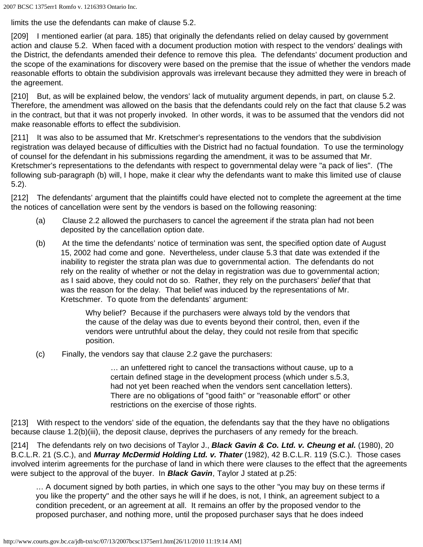limits the use the defendants can make of clause 5.2.

[209] I mentioned earlier (at para. 185) that originally the defendants relied on delay caused by government action and clause 5.2. When faced with a document production motion with respect to the vendors' dealings with the District, the defendants amended their defence to remove this plea. The defendants' document production and the scope of the examinations for discovery were based on the premise that the issue of whether the vendors made reasonable efforts to obtain the subdivision approvals was irrelevant because they admitted they were in breach of the agreement.

[210] But, as will be explained below, the vendors' lack of mutuality argument depends, in part, on clause 5.2. Therefore, the amendment was allowed on the basis that the defendants could rely on the fact that clause 5.2 was in the contract, but that it was not properly invoked. In other words, it was to be assumed that the vendors did not make reasonable efforts to effect the subdivision.

[211] It was also to be assumed that Mr. Kretschmer's representations to the vendors that the subdivision registration was delayed because of difficulties with the District had no factual foundation. To use the terminology of counsel for the defendant in his submissions regarding the amendment, it was to be assumed that Mr. Kretschmer's representations to the defendants with respect to governmental delay were "a pack of lies". (The following sub-paragraph (b) will, I hope, make it clear why the defendants want to make this limited use of clause 5.2).

[212] The defendants' argument that the plaintiffs could have elected not to complete the agreement at the time the notices of cancellation were sent by the vendors is based on the following reasoning:

- (a) Clause 2.2 allowed the purchasers to cancel the agreement if the strata plan had not been deposited by the cancellation option date.
- (b) At the time the defendants' notice of termination was sent, the specified option date of August 15, 2002 had come and gone. Nevertheless, under clause 5.3 that date was extended if the inability to register the strata plan was due to governmental action. The defendants do not rely on the reality of whether or not the delay in registration was due to governmental action; as I said above, they could not do so. Rather, they rely on the purchasers' *belief* that that was the reason for the delay. That belief was induced by the representations of Mr. Kretschmer. To quote from the defendants' argument:

Why belief? Because if the purchasers were always told by the vendors that the cause of the delay was due to events beyond their control, then, even if the vendors were untruthful about the delay, they could not resile from that specific position.

(c) Finally, the vendors say that clause 2.2 gave the purchasers:

… an unfettered right to cancel the transactions without cause, up to a certain defined stage in the development process (which under s.5.3, had not yet been reached when the vendors sent cancellation letters). There are no obligations of "good faith" or "reasonable effort" or other restrictions on the exercise of those rights.

[213] With respect to the vendors' side of the equation, the defendants say that the they have no obligations because clause 1.2(b)(iii), the deposit clause, deprives the purchasers of any remedy for the breach.

[214] The defendants rely on two decisions of Taylor J., *Black Gavin & Co. Ltd. v. Cheung et al.* (1980), 20 B.C.L.R. 21 (S.C.), and *Murray McDermid Holding Ltd. v. Thater* (1982), 42 B.C.L.R. 119 (S.C.). Those cases involved interim agreements for the purchase of land in which there were clauses to the effect that the agreements were subject to the approval of the buyer. In *Black Gavin*, Taylor J stated at p.25:

… A document signed by both parties, in which one says to the other "you may buy on these terms if you like the property" and the other says he will if he does, is not, I think, an agreement subject to a condition precedent, or an agreement at all. It remains an offer by the proposed vendor to the proposed purchaser, and nothing more, until the proposed purchaser says that he does indeed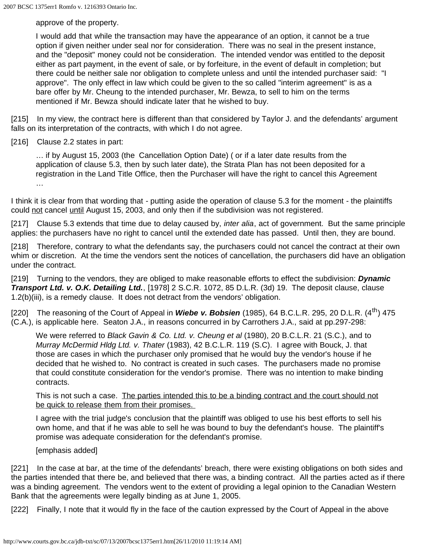approve of the property.

I would add that while the transaction may have the appearance of an option, it cannot be a true option if given neither under seal nor for consideration. There was no seal in the present instance, and the "deposit" money could not be consideration. The intended vendor was entitled to the deposit either as part payment, in the event of sale, or by forfeiture, in the event of default in completion; but there could be neither sale nor obligation to complete unless and until the intended purchaser said: "I approve". The only effect in law which could be given to the so called "interim agreement" is as a bare offer by Mr. Cheung to the intended purchaser, Mr. Bewza, to sell to him on the terms mentioned if Mr. Bewza should indicate later that he wished to buy.

[215] In my view, the contract here is different than that considered by Taylor J. and the defendants' argument falls on its interpretation of the contracts, with which I do not agree.

[216] Clause 2.2 states in part:

… if by August 15, 2003 (the Cancellation Option Date) ( or if a later date results from the application of clause 5.3, then by such later date), the Strata Plan has not been deposited for a registration in the Land Title Office, then the Purchaser will have the right to cancel this Agreement …

I think it is clear from that wording that - putting aside the operation of clause 5.3 for the moment - the plaintiffs could not cancel until August 15, 2003, and only then if the subdivision was not registered.

[217] Clause 5.3 extends that time due to delay caused by, *inter alia*, act of government. But the same principle applies: the purchasers have no right to cancel until the extended date has passed. Until then, they are bound.

[218] Therefore, contrary to what the defendants say, the purchasers could not cancel the contract at their own whim or discretion. At the time the vendors sent the notices of cancellation, the purchasers did have an obligation under the contract.

[219] Turning to the vendors, they are obliged to make reasonable efforts to effect the subdivision: *Dynamic Transport Ltd. v. O.K. Detailing Ltd.*, [1978] 2 S.C.R. 1072, 85 D.L.R. (3d) 19. The deposit clause, clause 1.2(b)(iii), is a remedy clause. It does not detract from the vendors' obligation.

[220] The reasoning of the Court of Appeal in **Wiebe v. Bobsien** (1985), 64 B.C.L.R. 295, 20 D.L.R. (4<sup>th</sup>) 475 (C.A.), is applicable here. Seaton J.A., in reasons concurred in by Carrothers J.A., said at pp.297-298:

We were referred to *Black Gavin & Co. Ltd. v. Cheung et al* (1980), 20 B.C.L.R. 21 (S.C.), and to *Murray McDermid Hldg Ltd. v. Thater* (1983), 42 B.C.L.R. 119 (S.C). I agree with Bouck, J. that those are cases in which the purchaser only promised that he would buy the vendor's house if he decided that he wished to. No contract is created in such cases. The purchasers made no promise that could constitute consideration for the vendor's promise. There was no intention to make binding contracts.

This is not such a case. The parties intended this to be a binding contract and the court should not be quick to release them from their promises.

I agree with the trial judge's conclusion that the plaintiff was obliged to use his best efforts to sell his own home, and that if he was able to sell he was bound to buy the defendant's house. The plaintiff's promise was adequate consideration for the defendant's promise.

[emphasis added]

[221] In the case at bar, at the time of the defendants' breach, there were existing obligations on both sides and the parties intended that there be, and believed that there was, a binding contract. All the parties acted as if there was a binding agreement. The vendors went to the extent of providing a legal opinion to the Canadian Western Bank that the agreements were legally binding as at June 1, 2005.

[222] Finally, I note that it would fly in the face of the caution expressed by the Court of Appeal in the above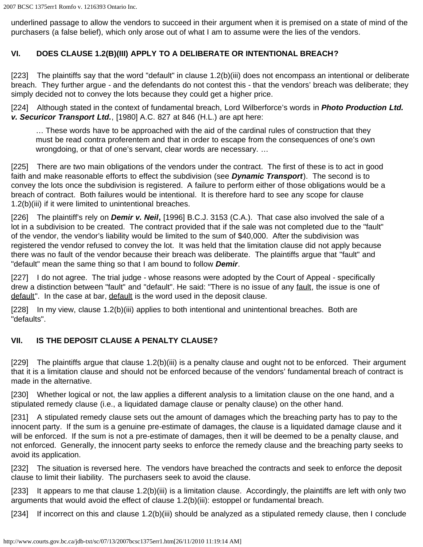underlined passage to allow the vendors to succeed in their argument when it is premised on a state of mind of the purchasers (a false belief), which only arose out of what I am to assume were the lies of the vendors.

# **VI. DOES CLAUSE 1.2(B)(III) APPLY TO A DELIBERATE OR INTENTIONAL BREACH?**

[223] The plaintiffs say that the word "default" in clause 1.2(b)(iii) does not encompass an intentional or deliberate breach. They further argue - and the defendants do not contest this - that the vendors' breach was deliberate; they simply decided not to convey the lots because they could get a higher price.

[224] Although stated in the context of fundamental breach, Lord Wilberforce's words in *Photo Production Ltd. v. Securicor Transport Ltd.*, [1980] A.C. 827 at 846 (H.L.) are apt here:

… These words have to be approached with the aid of the cardinal rules of construction that they must be read contra proferentem and that in order to escape from the consequences of one's own wrongdoing, or that of one's servant, clear words are necessary. …

[225] There are two main obligations of the vendors under the contract. The first of these is to act in good faith and make reasonable efforts to effect the subdivision (see *Dynamic Transport*). The second is to convey the lots once the subdivision is registered. A failure to perform either of those obligations would be a breach of contract. Both failures would be intentional. It is therefore hard to see any scope for clause 1.2(b)(iii) if it were limited to unintentional breaches.

[226] The plaintiff's rely on *Demir v. Neil***,** [1996] B.C.J. 3153 (C.A.). That case also involved the sale of a lot in a subdivision to be created. The contract provided that if the sale was not completed due to the "fault" of the vendor, the vendor's liability would be limited to the sum of \$40,000. After the subdivision was registered the vendor refused to convey the lot. It was held that the limitation clause did not apply because there was no fault of the vendor because their breach was deliberate. The plaintiffs argue that "fault" and "default" mean the same thing so that I am bound to follow *Demir*.

[227] I do not agree. The trial judge - whose reasons were adopted by the Court of Appeal - specifically drew a distinction between "fault" and "default". He said: "There is no issue of any fault, the issue is one of default". In the case at bar, default is the word used in the deposit clause.

[228] In my view, clause 1.2(b)(iii) applies to both intentional and unintentional breaches. Both are "defaults".

# **VII. IS THE DEPOSIT CLAUSE A PENALTY CLAUSE?**

[229] The plaintiffs argue that clause 1.2(b)(iii) is a penalty clause and ought not to be enforced. Their argument that it is a limitation clause and should not be enforced because of the vendors' fundamental breach of contract is made in the alternative.

[230] Whether logical or not, the law applies a different analysis to a limitation clause on the one hand, and a stipulated remedy clause (i.e., a liquidated damage clause or penalty clause) on the other hand.

[231] A stipulated remedy clause sets out the amount of damages which the breaching party has to pay to the innocent party. If the sum is a genuine pre-estimate of damages, the clause is a liquidated damage clause and it will be enforced. If the sum is not a pre-estimate of damages, then it will be deemed to be a penalty clause, and not enforced. Generally, the innocent party seeks to enforce the remedy clause and the breaching party seeks to avoid its application.

[232] The situation is reversed here. The vendors have breached the contracts and seek to enforce the deposit clause to limit their liability. The purchasers seek to avoid the clause.

[233] It appears to me that clause 1.2(b)(iii) is a limitation clause. Accordingly, the plaintiffs are left with only two arguments that would avoid the effect of clause 1.2(b)(iii): estoppel or fundamental breach.

[234] If incorrect on this and clause 1.2(b)(iii) should be analyzed as a stipulated remedy clause, then I conclude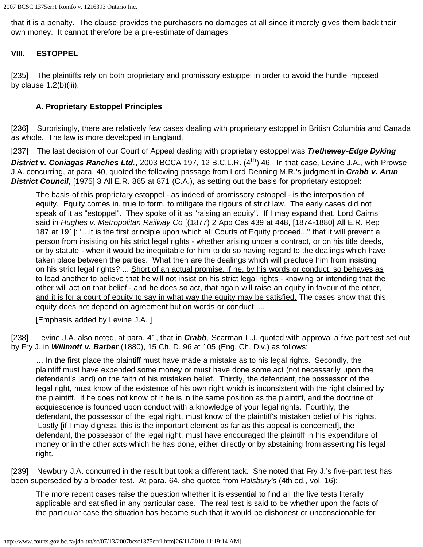that it is a penalty. The clause provides the purchasers no damages at all since it merely gives them back their own money. It cannot therefore be a pre-estimate of damages.

### **VIII. ESTOPPEL**

[235] The plaintiffs rely on both proprietary and promissory estoppel in order to avoid the hurdle imposed by clause 1.2(b)(iii).

### **A. Proprietary Estoppel Principles**

[236] Surprisingly, there are relatively few cases dealing with proprietary estoppel in British Columbia and Canada as whole. The law is more developed in England.

[237] The last decision of our Court of Appeal dealing with proprietary estoppel was *Trethewey-Edge Dyking*

District v. Coniagas Ranches Ltd., 2003 BCCA 197, 12 B.C.L.R. (4<sup>th</sup>) 46. In that case, Levine J.A., with Prowse J.A. concurring, at para. 40, quoted the following passage from Lord Denning M.R.'s judgment in *Crabb v. Arun District Council*, [1975] 3 All E.R. 865 at 871 (C.A.), as setting out the basis for proprietary estoppel:

The basis of this proprietary estoppel - as indeed of promissory estoppel - is the interposition of equity. Equity comes in, true to form, to mitigate the rigours of strict law. The early cases did not speak of it as "estoppel". They spoke of it as "raising an equity". If I may expand that, Lord Cairns said in *Hughes v. Metropolitan Railway Co* [(1877) 2 App Cas 439 at 448, [1874-1880] All E.R. Rep 187 at 191]: "...it is the first principle upon which all Courts of Equity proceed..." that it will prevent a person from insisting on his strict legal rights - whether arising under a contract, or on his title deeds, or by statute - when it would be inequitable for him to do so having regard to the dealings which have taken place between the parties. What then are the dealings which will preclude him from insisting on his strict legal rights? ... Short of an actual promise, if he, by his words or conduct, so behaves as to lead another to believe that he will not insist on his strict legal rights - knowing or intending that the other will act on that belief - and he does so act, that again will raise an equity in favour of the other, and it is for a court of equity to say in what way the equity may be satisfied. The cases show that this equity does not depend on agreement but on words or conduct. ...

[Emphasis added by Levine J.A. ]

[238] Levine J.A. also noted, at para. 41, that in **Crabb**, Scarman L.J. quoted with approval a five part test set out by Fry J. in *Willmott v. Barber* (1880), 15 Ch. D. 96 at 105 (Eng. Ch. Div.) as follows:

… In the first place the plaintiff must have made a mistake as to his legal rights. Secondly, the plaintiff must have expended some money or must have done some act (not necessarily upon the defendant's land) on the faith of his mistaken belief. Thirdly, the defendant, the possessor of the legal right, must know of the existence of his own right which is inconsistent with the right claimed by the plaintiff. If he does not know of it he is in the same position as the plaintiff, and the doctrine of acquiescence is founded upon conduct with a knowledge of your legal rights. Fourthly, the defendant, the possessor of the legal right, must know of the plaintiff's mistaken belief of his rights. Lastly [if I may digress, this is the important element as far as this appeal is concerned], the defendant, the possessor of the legal right, must have encouraged the plaintiff in his expenditure of money or in the other acts which he has done, either directly or by abstaining from asserting his legal right.

[239] Newbury J.A. concurred in the result but took a different tack. She noted that Fry J.'s five-part test has been superseded by a broader test. At para. 64, she quoted from *Halsbury's* (4th ed., vol. 16):

The more recent cases raise the question whether it is essential to find all the five tests literally applicable and satisfied in any particular case. The real test is said to be whether upon the facts of the particular case the situation has become such that it would be dishonest or unconscionable for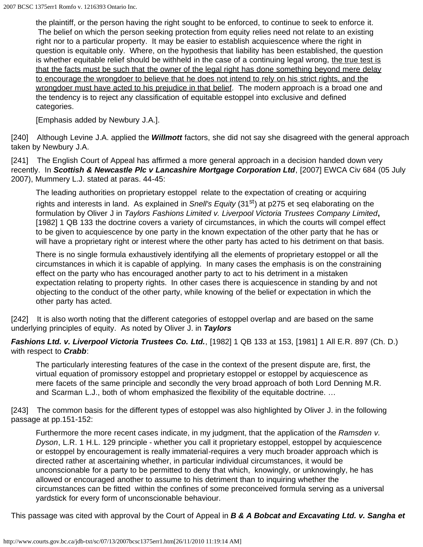the plaintiff, or the person having the right sought to be enforced, to continue to seek to enforce it. The belief on which the person seeking protection from equity relies need not relate to an existing right nor to a particular property. It may be easier to establish acquiescence where the right in question is equitable only. Where, on the hypothesis that liability has been established, the question is whether equitable relief should be withheld in the case of a continuing legal wrong, the true test is that the facts must be such that the owner of the legal right has done something beyond mere delay to encourage the wrongdoer to believe that he does not intend to rely on his strict rights, and the wrongdoer must have acted to his prejudice in that belief. The modern approach is a broad one and the tendency is to reject any classification of equitable estoppel into exclusive and defined categories.

[Emphasis added by Newbury J.A.].

[240] Although Levine J.A. applied the *Willmott* factors, she did not say she disagreed with the general approach taken by Newbury J.A.

[241] The English Court of Appeal has affirmed a more general approach in a decision handed down very recently. In *Scottish & Newcastle Plc v Lancashire Mortgage Corporation Ltd*, [2007] EWCA Civ 684 (05 July 2007), Mummery L.J. stated at paras. 44-45:

The leading authorities on proprietary estoppel relate to the expectation of creating or acquiring rights and interests in land. As explained in *Snell's Equity* (31<sup>st</sup>) at p275 et seq elaborating on the formulation by Oliver J in *Taylors Fashions Limited v. Liverpool Victoria Trustees Company Limited***,** [1982] 1 QB 133 the doctrine covers a variety of circumstances, in which the courts will compel effect to be given to acquiescence by one party in the known expectation of the other party that he has or will have a proprietary right or interest where the other party has acted to his detriment on that basis.

There is no single formula exhaustively identifying all the elements of proprietary estoppel or all the circumstances in which it is capable of applying. In many cases the emphasis is on the constraining effect on the party who has encouraged another party to act to his detriment in a mistaken expectation relating to property rights. In other cases there is acquiescence in standing by and not objecting to the conduct of the other party, while knowing of the belief or expectation in which the other party has acted.

[242] It is also worth noting that the different categories of estoppel overlap and are based on the same underlying principles of equity. As noted by Oliver J. in *Taylors*

*Fashions Ltd. v. Liverpool Victoria Trustees Co. Ltd.*, [1982] 1 QB 133 at 153, [1981] 1 All E.R. 897 (Ch. D.) with respect to *Crabb*:

The particularly interesting features of the case in the context of the present dispute are, first, the virtual equation of promissory estoppel and proprietary estoppel or estoppel by acquiescence as mere facets of the same principle and secondly the very broad approach of both Lord Denning M.R. and Scarman L.J., both of whom emphasized the flexibility of the equitable doctrine. …

[243] The common basis for the different types of estoppel was also highlighted by Oliver J. in the following passage at pp.151-152:

Furthermore the more recent cases indicate, in my judgment, that the application of the *Ramsden v. Dyson*, L.R. 1 H.L. 129 principle - whether you call it proprietary estoppel, estoppel by acquiescence or estoppel by encouragement is really immaterial-requires a very much broader approach which is directed rather at ascertaining whether, in particular individual circumstances, it would be unconscionable for a party to be permitted to deny that which, knowingly, or unknowingly, he has allowed or encouraged another to assume to his detriment than to inquiring whether the circumstances can be fitted within the confines of some preconceived formula serving as a universal yardstick for every form of unconscionable behaviour.

This passage was cited with approval by the Court of Appeal in *B & A Bobcat and Excavating Ltd. v. Sangha et*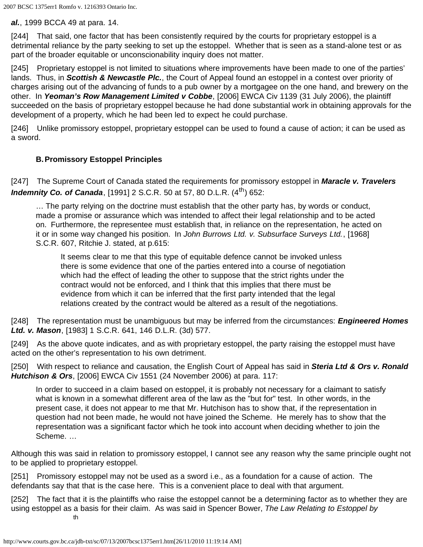*al.*, 1999 BCCA 49 at para. 14.

[244] That said, one factor that has been consistently required by the courts for proprietary estoppel is a detrimental reliance by the party seeking to set up the estoppel. Whether that is seen as a stand-alone test or as part of the broader equitable or unconscionability inquiry does not matter.

[245] Proprietary estoppel is not limited to situations where improvements have been made to one of the parties' lands. Thus, in *Scottish & Newcastle Plc.*, the Court of Appeal found an estoppel in a contest over priority of charges arising out of the advancing of funds to a pub owner by a mortgagee on the one hand, and brewery on the other. In *Yeoman's Row Management Limited v Cobbe*, [2006] EWCA Civ 1139 (31 July 2006), the plaintiff succeeded on the basis of proprietary estoppel because he had done substantial work in obtaining approvals for the development of a property, which he had been led to expect he could purchase.

[246] Unlike promissory estoppel, proprietary estoppel can be used to found a cause of action; it can be used as a sword.

# **B.Promissory Estoppel Principles**

[247] The Supreme Court of Canada stated the requirements for promissory estoppel in *Maracle v. Travelers Indemnity Co. of Canada*, [1991] 2 S.C.R. 50 at 57, 80 D.L.R. (4<sup>th</sup>) 652:

… The party relying on the doctrine must establish that the other party has, by words or conduct, made a promise or assurance which was intended to affect their legal relationship and to be acted on. Furthermore, the representee must establish that, in reliance on the representation, he acted on it or in some way changed his position. In *John Burrows Ltd. v. Subsurface Surveys Ltd.*, [1968] S.C.R. 607, Ritchie J. stated, at p.615:

It seems clear to me that this type of equitable defence cannot be invoked unless there is some evidence that one of the parties entered into a course of negotiation which had the effect of leading the other to suppose that the strict rights under the contract would not be enforced, and I think that this implies that there must be evidence from which it can be inferred that the first party intended that the legal relations created by the contract would be altered as a result of the negotiations.

[248] The representation must be unambiguous but may be inferred from the circumstances: *Engineered Homes Ltd. v. Mason*, [1983] 1 S.C.R. 641, 146 D.L.R. (3d) 577.

[249] As the above quote indicates, and as with proprietary estoppel, the party raising the estoppel must have acted on the other's representation to his own detriment.

[250] With respect to reliance and causation, the English Court of Appeal has said in *Steria Ltd & Ors v. Ronald Hutchison & Ors*, [2006] EWCA Civ 1551 (24 November 2006) at para. 117:

In order to succeed in a claim based on estoppel, it is probably not necessary for a claimant to satisfy what is known in a somewhat different area of the law as the "but for" test. In other words, in the present case, it does not appear to me that Mr. Hutchison has to show that, if the representation in question had not been made, he would not have joined the Scheme. He merely has to show that the representation was a significant factor which he took into account when deciding whether to join the Scheme. …

Although this was said in relation to promissory estoppel, I cannot see any reason why the same principle ought not to be applied to proprietary estoppel.

[251] Promissory estoppel may not be used as a sword i.e., as a foundation for a cause of action. The defendants say that that is the case here. This is a convenient place to deal with that argument.

[252] The fact that it is the plaintiffs who raise the estoppel cannot be a determining factor as to whether they are using estoppel as a basis for their claim. As was said in Spencer Bower, *The Law Relating to Estoppel by* th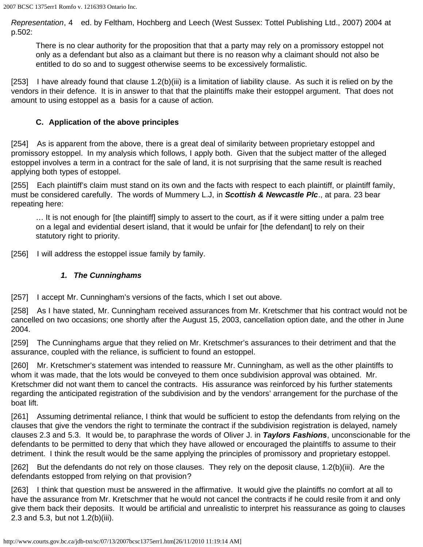*Representation*, 4 ed. by Feltham, Hochberg and Leech (West Sussex: Tottel Publishing Ltd., 2007) 2004 at p.502:

There is no clear authority for the proposition that that a party may rely on a promissory estoppel not only as a defendant but also as a claimant but there is no reason why a claimant should not also be entitled to do so and to suggest otherwise seems to be excessively formalistic.

[253] I have already found that clause 1.2(b)(iii) is a limitation of liability clause. As such it is relied on by the vendors in their defence. It is in answer to that that the plaintiffs make their estoppel argument. That does not amount to using estoppel as a basis for a cause of action.

## **C. Application of the above principles**

[254] As is apparent from the above, there is a great deal of similarity between proprietary estoppel and promissory estoppel. In my analysis which follows, I apply both. Given that the subject matter of the alleged estoppel involves a term in a contract for the sale of land, it is not surprising that the same result is reached applying both types of estoppel.

[255] Each plaintiff's claim must stand on its own and the facts with respect to each plaintiff, or plaintiff family, must be considered carefully. The words of Mummery L.J, in *Scottish & Newcastle Plc*., at para. 23 bear repeating here:

… It is not enough for [the plaintiff] simply to assert to the court, as if it were sitting under a palm tree on a legal and evidential desert island, that it would be unfair for [the defendant] to rely on their statutory right to priority.

[256] I will address the estoppel issue family by family.

## *1. The Cunninghams*

[257] I accept Mr. Cunningham's versions of the facts, which I set out above.

[258] As I have stated, Mr. Cunningham received assurances from Mr. Kretschmer that his contract would not be cancelled on two occasions; one shortly after the August 15, 2003, cancellation option date, and the other in June 2004.

[259] The Cunninghams argue that they relied on Mr. Kretschmer's assurances to their detriment and that the assurance, coupled with the reliance, is sufficient to found an estoppel.

[260] Mr. Kretschmer's statement was intended to reassure Mr. Cunningham, as well as the other plaintiffs to whom it was made, that the lots would be conveyed to them once subdivision approval was obtained. Mr. Kretschmer did not want them to cancel the contracts. His assurance was reinforced by his further statements regarding the anticipated registration of the subdivision and by the vendors' arrangement for the purchase of the boat lift.

[261] Assuming detrimental reliance, I think that would be sufficient to estop the defendants from relying on the clauses that give the vendors the right to terminate the contract if the subdivision registration is delayed, namely clauses 2.3 and 5.3. It would be, to paraphrase the words of Oliver J. in *Taylors Fashions*, unconscionable for the defendants to be permitted to deny that which they have allowed or encouraged the plaintiffs to assume to their detriment. I think the result would be the same applying the principles of promissory and proprietary estoppel.

[262] But the defendants do not rely on those clauses. They rely on the deposit clause, 1.2(b)(iii). Are the defendants estopped from relying on that provision?

[263] I think that question must be answered in the affirmative. It would give the plaintiffs no comfort at all to have the assurance from Mr. Kretschmer that he would not cancel the contracts if he could resile from it and only give them back their deposits. It would be artificial and unrealistic to interpret his reassurance as going to clauses 2.3 and 5.3, but not 1.2(b)(iii).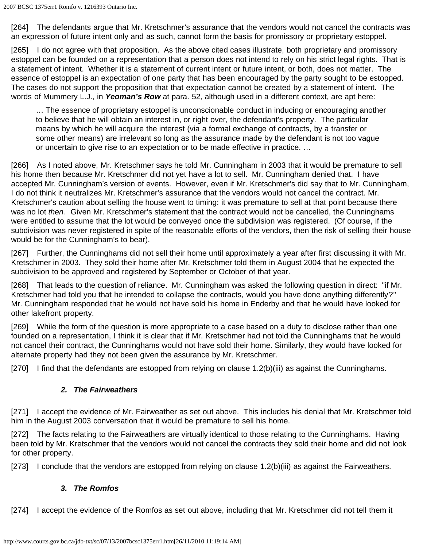[264] The defendants argue that Mr. Kretschmer's assurance that the vendors would not cancel the contracts was an expression of future intent only and as such, cannot form the basis for promissory or proprietary estoppel.

[265] I do not agree with that proposition. As the above cited cases illustrate, both proprietary and promissory estoppel can be founded on a representation that a person does not intend to rely on his strict legal rights. That is a statement of intent. Whether it is a statement of current intent or future intent, or both, does not matter. The essence of estoppel is an expectation of one party that has been encouraged by the party sought to be estopped. The cases do not support the proposition that that expectation cannot be created by a statement of intent. The words of Mummery L.J., in *Yeoman's Row* at para. 52, although used in a different context, are apt here:

… The essence of proprietary estoppel is unconscionable conduct in inducing or encouraging another to believe that he will obtain an interest in, or right over, the defendant's property. The particular means by which he will acquire the interest (via a formal exchange of contracts, by a transfer or some other means) are irrelevant so long as the assurance made by the defendant is not too vague or uncertain to give rise to an expectation or to be made effective in practice. …

[266] As I noted above, Mr. Kretschmer says he told Mr. Cunningham in 2003 that it would be premature to sell his home then because Mr. Kretschmer did not yet have a lot to sell. Mr. Cunningham denied that. I have accepted Mr. Cunningham's version of events. However, even if Mr. Kretschmer's did say that to Mr. Cunningham, I do not think it neutralizes Mr. Kretschmer's assurance that the vendors would not cancel the contract. Mr. Kretschmer's caution about selling the house went to timing: it was premature to sell at that point because there was no lot *then*. Given Mr. Kretschmer's statement that the contract would not be cancelled, the Cunninghams were entitled to assume that the lot would be conveyed once the subdivision was registered. (Of course, if the subdivision was never registered in spite of the reasonable efforts of the vendors, then the risk of selling their house would be for the Cunningham's to bear).

[267] Further, the Cunninghams did not sell their home until approximately a year after first discussing it with Mr. Kretschmer in 2003. They sold their home after Mr. Kretschmer told them in August 2004 that he expected the subdivision to be approved and registered by September or October of that year.

[268] That leads to the question of reliance. Mr. Cunningham was asked the following question in direct: "if Mr. Kretschmer had told you that he intended to collapse the contracts, would you have done anything differently?" Mr. Cunningham responded that he would not have sold his home in Enderby and that he would have looked for other lakefront property.

[269] While the form of the question is more appropriate to a case based on a duty to disclose rather than one founded on a representation, I think it is clear that if Mr. Kretschmer had not told the Cunninghams that he would not cancel their contract, the Cunninghams would not have sold their home. Similarly, they would have looked for alternate property had they not been given the assurance by Mr. Kretschmer.

[270] I find that the defendants are estopped from relying on clause 1.2(b)(iii) as against the Cunninghams.

### *2. The Fairweathers*

[271] I accept the evidence of Mr. Fairweather as set out above. This includes his denial that Mr. Kretschmer told him in the August 2003 conversation that it would be premature to sell his home.

[272] The facts relating to the Fairweathers are virtually identical to those relating to the Cunninghams. Having been told by Mr. Kretschmer that the vendors would not cancel the contracts they sold their home and did not look for other property.

[273] I conclude that the vendors are estopped from relying on clause 1.2(b)(iii) as against the Fairweathers.

### *3. The Romfos*

[274] I accept the evidence of the Romfos as set out above, including that Mr. Kretschmer did not tell them it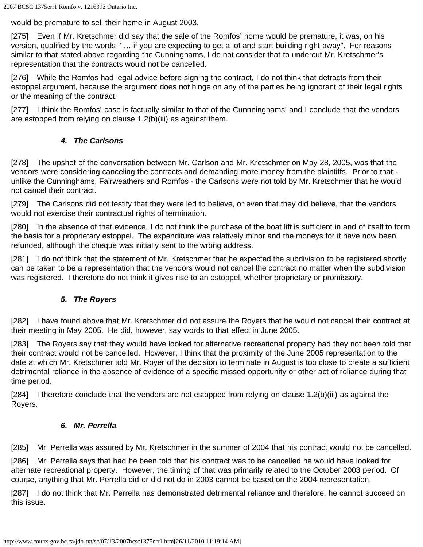would be premature to sell their home in August 2003.

[275] Even if Mr. Kretschmer did say that the sale of the Romfos' home would be premature, it was, on his version, qualified by the words " … if you are expecting to get a lot and start building right away". For reasons similar to that stated above regarding the Cunninghams, I do not consider that to undercut Mr. Kretschmer's representation that the contracts would not be cancelled.

[276] While the Romfos had legal advice before signing the contract, I do not think that detracts from their estoppel argument, because the argument does not hinge on any of the parties being ignorant of their legal rights or the meaning of the contract.

[277] I think the Romfos' case is factually similar to that of the Cunnninghams' and I conclude that the vendors are estopped from relying on clause 1.2(b)(iii) as against them.

## *4. The Carlsons*

[278] The upshot of the conversation between Mr. Carlson and Mr. Kretschmer on May 28, 2005, was that the vendors were considering canceling the contracts and demanding more money from the plaintiffs. Prior to that unlike the Cunninghams, Fairweathers and Romfos - the Carlsons were not told by Mr. Kretschmer that he would not cancel their contract.

[279] The Carlsons did not testify that they were led to believe, or even that they did believe, that the vendors would not exercise their contractual rights of termination.

[280] In the absence of that evidence, I do not think the purchase of the boat lift is sufficient in and of itself to form the basis for a proprietary estoppel. The expenditure was relatively minor and the moneys for it have now been refunded, although the cheque was initially sent to the wrong address.

[281] I do not think that the statement of Mr. Kretschmer that he expected the subdivision to be registered shortly can be taken to be a representation that the vendors would not cancel the contract no matter when the subdivision was registered. I therefore do not think it gives rise to an estoppel, whether proprietary or promissory.

### *5. The Royers*

[282] I have found above that Mr. Kretschmer did not assure the Royers that he would not cancel their contract at their meeting in May 2005. He did, however, say words to that effect in June 2005.

[283] The Royers say that they would have looked for alternative recreational property had they not been told that their contract would not be cancelled. However, I think that the proximity of the June 2005 representation to the date at which Mr. Kretschmer told Mr. Royer of the decision to terminate in August is too close to create a sufficient detrimental reliance in the absence of evidence of a specific missed opportunity or other act of reliance during that time period.

[284] I therefore conclude that the vendors are not estopped from relying on clause 1.2(b)(iii) as against the Royers.

### *6. Mr. Perrella*

[285] Mr. Perrella was assured by Mr. Kretschmer in the summer of 2004 that his contract would not be cancelled.

[286] Mr. Perrella says that had he been told that his contract was to be cancelled he would have looked for alternate recreational property. However, the timing of that was primarily related to the October 2003 period. Of course, anything that Mr. Perrella did or did not do in 2003 cannot be based on the 2004 representation.

[287] I do not think that Mr. Perrella has demonstrated detrimental reliance and therefore, he cannot succeed on this issue.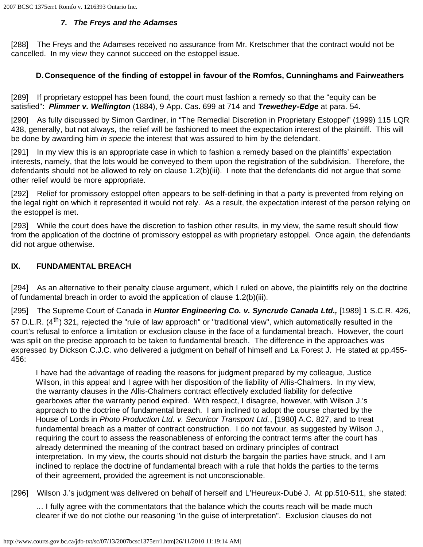2007 BCSC 1375err1 Romfo v. 1216393 Ontario Inc.

#### *7. The Freys and the Adamses*

[288] The Freys and the Adamses received no assurance from Mr. Kretschmer that the contract would not be cancelled. In my view they cannot succeed on the estoppel issue.

### **D.Consequence of the finding of estoppel in favour of the Romfos, Cunninghams and Fairweathers**

[289] If proprietary estoppel has been found, the court must fashion a remedy so that the "equity can be satisfied": *Plimmer v. Wellington* (1884), 9 App. Cas. 699 at 714 and *Trewethey-Edge* at para. 54.

[290] As fully discussed by Simon Gardiner, in "The Remedial Discretion in Proprietary Estoppel" (1999) 115 LQR 438, generally, but not always, the relief will be fashioned to meet the expectation interest of the plaintiff. This will be done by awarding him *in specie* the interest that was assured to him by the defendant.

[291] In my view this is an appropriate case in which to fashion a remedy based on the plaintiffs' expectation interests, namely, that the lots would be conveyed to them upon the registration of the subdivision. Therefore, the defendants should not be allowed to rely on clause 1.2(b)(iii). I note that the defendants did not argue that some other relief would be more appropriate.

[292] Relief for promissory estoppel often appears to be self-defining in that a party is prevented from relying on the legal right on which it represented it would not rely. As a result, the expectation interest of the person relying on the estoppel is met.

[293] While the court does have the discretion to fashion other results, in my view, the same result should flow from the application of the doctrine of promissory estoppel as with proprietary estoppel. Once again, the defendants did not argue otherwise.

## **IX. FUNDAMENTAL BREACH**

[294] As an alternative to their penalty clause argument, which I ruled on above, the plaintiffs rely on the doctrine of fundamental breach in order to avoid the application of clause 1.2(b)(iii).

[295] The Supreme Court of Canada in *Hunter Engineering Co. v. Syncrude Canada Ltd.,* [1989] 1 S.C.R. 426, 57 D.L.R. (4<sup>th</sup>) 321, rejected the "rule of law approach" or "traditional view", which automatically resulted in the court's refusal to enforce a limitation or exclusion clause in the face of a fundamental breach. However, the court was split on the precise approach to be taken to fundamental breach. The difference in the approaches was expressed by Dickson C.J.C. who delivered a judgment on behalf of himself and La Forest J. He stated at pp.455- 456:

I have had the advantage of reading the reasons for judgment prepared by my colleague, Justice Wilson, in this appeal and I agree with her disposition of the liability of Allis-Chalmers. In my view, the warranty clauses in the Allis-Chalmers contract effectively excluded liability for defective gearboxes after the warranty period expired. With respect, I disagree, however, with Wilson J.'s approach to the doctrine of fundamental breach. I am inclined to adopt the course charted by the House of Lords in *Photo Production Ltd. v. Securicor Transport Ltd.*, [1980] A.C. 827, and to treat fundamental breach as a matter of contract construction. I do not favour, as suggested by Wilson J., requiring the court to assess the reasonableness of enforcing the contract terms after the court has already determined the meaning of the contract based on ordinary principles of contract interpretation. In my view, the courts should not disturb the bargain the parties have struck, and I am inclined to replace the doctrine of fundamental breach with a rule that holds the parties to the terms of their agreement, provided the agreement is not unconscionable.

[296] Wilson J.'s judgment was delivered on behalf of herself and L'Heureux-Dubé J. At pp.510-511, she stated:

… I fully agree with the commentators that the balance which the courts reach will be made much clearer if we do not clothe our reasoning "in the guise of interpretation". Exclusion clauses do not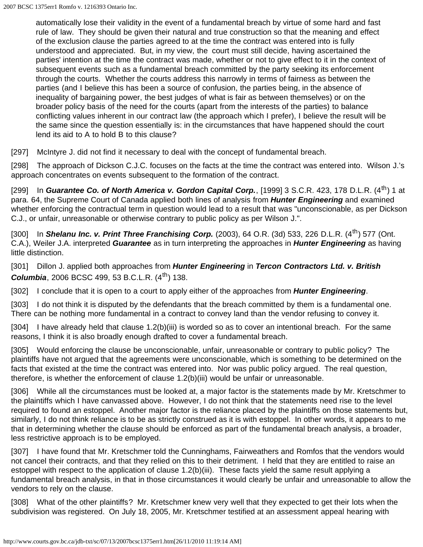automatically lose their validity in the event of a fundamental breach by virtue of some hard and fast rule of law. They should be given their natural and true construction so that the meaning and effect of the exclusion clause the parties agreed to at the time the contract was entered into is fully understood and appreciated. But, in my view, the court must still decide, having ascertained the parties' intention at the time the contract was made, whether or not to give effect to it in the context of subsequent events such as a fundamental breach committed by the party seeking its enforcement through the courts. Whether the courts address this narrowly in terms of fairness as between the parties (and I believe this has been a source of confusion, the parties being, in the absence of inequality of bargaining power, the best judges of what is fair as between themselves) or on the broader policy basis of the need for the courts (apart from the interests of the parties) to balance conflicting values inherent in our contract law (the approach which I prefer), I believe the result will be the same since the question essentially is: in the circumstances that have happened should the court lend its aid to A to hold B to this clause?

[297] McIntyre J. did not find it necessary to deal with the concept of fundamental breach.

[298] The approach of Dickson C.J.C. focuses on the facts at the time the contract was entered into. Wilson J.'s approach concentrates on events subsequent to the formation of the contract.

[299] In Guarantee Co. of North America v. Gordon Capital Corp., [1999] 3 S.C.R. 423, 178 D.L.R. (4<sup>th</sup>) 1 at para. 64, the Supreme Court of Canada applied both lines of analysis from *Hunter Engineering* and examined whether enforcing the contractual term in question would lead to a result that was "unconscionable, as per Dickson C.J., or unfair, unreasonable or otherwise contrary to public policy as per Wilson J.".

[300] In **Shelanu Inc. v. Print Three Franchising Corp.** (2003), 64 O.R. (3d) 533, 226 D.L.R. (4<sup>th</sup>) 577 (Ont. C.A.), Weiler J.A. interpreted *Guarantee* as in turn interpreting the approaches in *Hunter Engineering* as having little distinction.

[301] Dillon J. applied both approaches from *Hunter Engineering* in *Tercon Contractors Ltd. v. British* **Columbia**, 2006 BCSC 499, 53 B.C.L.R.  $(4^{th})$  138.

[302] I conclude that it is open to a court to apply either of the approaches from **Hunter Engineering**.

[303] I do not think it is disputed by the defendants that the breach committed by them is a fundamental one. There can be nothing more fundamental in a contract to convey land than the vendor refusing to convey it.

[304] I have already held that clause 1.2(b)(iii) is worded so as to cover an intentional breach. For the same reasons, I think it is also broadly enough drafted to cover a fundamental breach.

[305] Would enforcing the clause be unconscionable, unfair, unreasonable or contrary to public policy? The plaintiffs have not argued that the agreements were unconscionable, which is something to be determined on the facts that existed at the time the contract was entered into. Nor was public policy argued. The real question, therefore, is whether the enforcement of clause 1.2(b)(iii) would be unfair or unreasonable.

[306] While all the circumstances must be looked at, a major factor is the statements made by Mr. Kretschmer to the plaintiffs which I have canvassed above. However, I do not think that the statements need rise to the level required to found an estoppel. Another major factor is the reliance placed by the plaintiffs on those statements but, similarly, I do not think reliance is to be as strictly construed as it is with estoppel. In other words, it appears to me that in determining whether the clause should be enforced as part of the fundamental breach analysis, a broader, less restrictive approach is to be employed.

[307] I have found that Mr. Kretschmer told the Cunninghams, Fairweathers and Romfos that the vendors would not cancel their contracts, and that they relied on this to their detriment. I held that they are entitled to raise an estoppel with respect to the application of clause 1.2(b)(iii). These facts yield the same result applying a fundamental breach analysis, in that in those circumstances it would clearly be unfair and unreasonable to allow the vendors to rely on the clause.

[308] What of the other plaintiffs? Mr. Kretschmer knew very well that they expected to get their lots when the subdivision was registered. On July 18, 2005, Mr. Kretschmer testified at an assessment appeal hearing with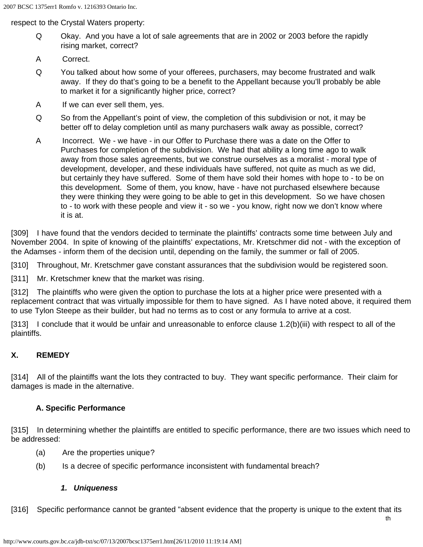respect to the Crystal Waters property:

- Q Okay. And you have a lot of sale agreements that are in 2002 or 2003 before the rapidly rising market, correct?
- A Correct.
- Q You talked about how some of your offerees, purchasers, may become frustrated and walk away. If they do that's going to be a benefit to the Appellant because you'll probably be able to market it for a significantly higher price, correct?
- A If we can ever sell them, yes.
- Q So from the Appellant's point of view, the completion of this subdivision or not, it may be better off to delay completion until as many purchasers walk away as possible, correct?
- A Incorrect. We we have in our Offer to Purchase there was a date on the Offer to Purchases for completion of the subdivision. We had that ability a long time ago to walk away from those sales agreements, but we construe ourselves as a moralist - moral type of development, developer, and these individuals have suffered, not quite as much as we did, but certainly they have suffered. Some of them have sold their homes with hope to - to be on this development. Some of them, you know, have - have not purchased elsewhere because they were thinking they were going to be able to get in this development. So we have chosen to - to work with these people and view it - so we - you know, right now we don't know where it is at.

[309] I have found that the vendors decided to terminate the plaintiffs' contracts some time between July and November 2004. In spite of knowing of the plaintiffs' expectations, Mr. Kretschmer did not - with the exception of the Adamses - inform them of the decision until, depending on the family, the summer or fall of 2005.

[310] Throughout, Mr. Kretschmer gave constant assurances that the subdivision would be registered soon.

[311] Mr. Kretschmer knew that the market was rising.

[312] The plaintiffs who were given the option to purchase the lots at a higher price were presented with a replacement contract that was virtually impossible for them to have signed. As I have noted above, it required them to use Tylon Steepe as their builder, but had no terms as to cost or any formula to arrive at a cost.

[313] I conclude that it would be unfair and unreasonable to enforce clause 1.2(b)(iii) with respect to all of the plaintiffs.

### **X. REMEDY**

[314] All of the plaintiffs want the lots they contracted to buy. They want specific performance. Their claim for damages is made in the alternative.

#### **A. Specific Performance**

[315] In determining whether the plaintiffs are entitled to specific performance, there are two issues which need to be addressed:

- (a) Are the properties unique?
- (b) Is a decree of specific performance inconsistent with fundamental breach?

#### *1. Uniqueness*

[316] Specific performance cannot be granted "absent evidence that the property is unique to the extent that its

th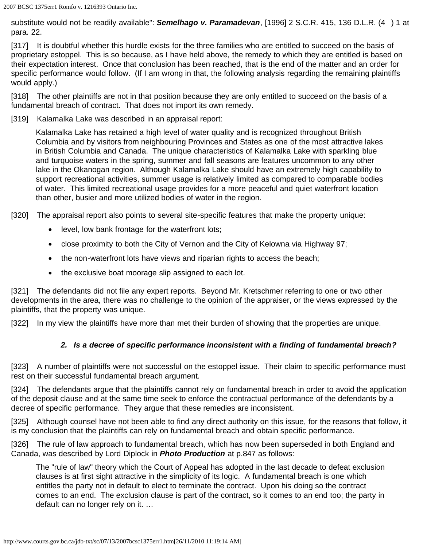substitute would not be readily available": *Semelhago v. Paramadevan*, [1996] 2 S.C.R. 415, 136 D.L.R. (4 ) 1 at para. 22.

[317] It is doubtful whether this hurdle exists for the three families who are entitled to succeed on the basis of proprietary estoppel. This is so because, as I have held above, the remedy to which they are entitled is based on their expectation interest. Once that conclusion has been reached, that is the end of the matter and an order for specific performance would follow. (If I am wrong in that, the following analysis regarding the remaining plaintiffs would apply.)

[318] The other plaintiffs are not in that position because they are only entitled to succeed on the basis of a fundamental breach of contract. That does not import its own remedy.

[319] Kalamalka Lake was described in an appraisal report:

Kalamalka Lake has retained a high level of water quality and is recognized throughout British Columbia and by visitors from neighbouring Provinces and States as one of the most attractive lakes in British Columbia and Canada. The unique characteristics of Kalamalka Lake with sparkling blue and turquoise waters in the spring, summer and fall seasons are features uncommon to any other lake in the Okanogan region. Although Kalamalka Lake should have an extremely high capability to support recreational activities, summer usage is relatively limited as compared to comparable bodies of water. This limited recreational usage provides for a more peaceful and quiet waterfront location than other, busier and more utilized bodies of water in the region.

[320] The appraisal report also points to several site-specific features that make the property unique:

- level, low bank frontage for the waterfront lots;
- close proximity to both the City of Vernon and the City of Kelowna via Highway 97;
- the non-waterfront lots have views and riparian rights to access the beach;
- the exclusive boat moorage slip assigned to each lot.

[321] The defendants did not file any expert reports. Beyond Mr. Kretschmer referring to one or two other developments in the area, there was no challenge to the opinion of the appraiser, or the views expressed by the plaintiffs, that the property was unique.

[322] In my view the plaintiffs have more than met their burden of showing that the properties are unique.

### *2. Is a decree of specific performance inconsistent with a finding of fundamental breach?*

[323] A number of plaintiffs were not successful on the estoppel issue. Their claim to specific performance must rest on their successful fundamental breach argument.

[324] The defendants argue that the plaintiffs cannot rely on fundamental breach in order to avoid the application of the deposit clause and at the same time seek to enforce the contractual performance of the defendants by a decree of specific performance. They argue that these remedies are inconsistent.

[325] Although counsel have not been able to find any direct authority on this issue, for the reasons that follow, it is my conclusion that the plaintiffs can rely on fundamental breach and obtain specific performance.

[326] The rule of law approach to fundamental breach, which has now been superseded in both England and Canada, was described by Lord Diplock in *Photo Production* at p.847 as follows:

The "rule of law" theory which the Court of Appeal has adopted in the last decade to defeat exclusion clauses is at first sight attractive in the simplicity of its logic. A fundamental breach is one which entitles the party not in default to elect to terminate the contract. Upon his doing so the contract comes to an end. The exclusion clause is part of the contract, so it comes to an end too; the party in default can no longer rely on it. …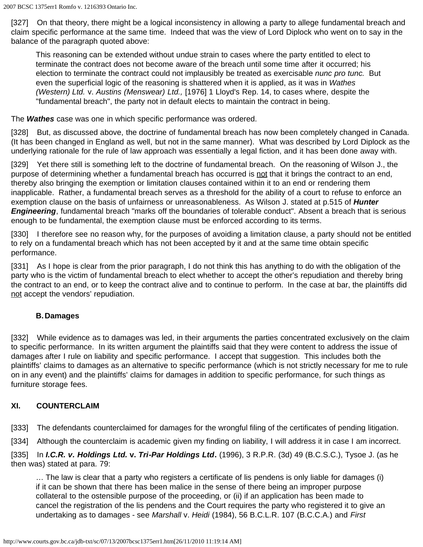[327] On that theory, there might be a logical inconsistency in allowing a party to allege fundamental breach and claim specific performance at the same time. Indeed that was the view of Lord Diplock who went on to say in the balance of the paragraph quoted above:

This reasoning can be extended without undue strain to cases where the party entitled to elect to terminate the contract does not become aware of the breach until some time after it occurred; his election to terminate the contract could not implausibly be treated as exercisable *nunc pro tunc.* But even the superficial logic of the reasoning is shattered when it is applied, as it was in *Wathes (Western) Ltd.* v. *Austins (Menswear) Ltd.,* [1976] 1 Lloyd's Rep. 14, to cases where, despite the "fundamental breach", the party not in default elects to maintain the contract in being.

The *Wathes* case was one in which specific performance was ordered.

[328] But, as discussed above, the doctrine of fundamental breach has now been completely changed in Canada. (It has been changed in England as well, but not in the same manner). What was described by Lord Diplock as the underlying rationale for the rule of law approach was essentially a legal fiction, and it has been done away with.

[329] Yet there still is something left to the doctrine of fundamental breach. On the reasoning of Wilson J., the purpose of determining whether a fundamental breach has occurred is not that it brings the contract to an end, thereby also bringing the exemption or limitation clauses contained within it to an end or rendering them inapplicable. Rather, a fundamental breach serves as a threshold for the ability of a court to refuse to enforce an exemption clause on the basis of unfairness or unreasonableness. As Wilson J. stated at p.515 of *Hunter Engineering*, fundamental breach "marks off the boundaries of tolerable conduct". Absent a breach that is serious enough to be fundamental, the exemption clause must be enforced according to its terms.

[330] I therefore see no reason why, for the purposes of avoiding a limitation clause, a party should not be entitled to rely on a fundamental breach which has not been accepted by it and at the same time obtain specific performance.

[331] As I hope is clear from the prior paragraph, I do not think this has anything to do with the obligation of the party who is the victim of fundamental breach to elect whether to accept the other's repudiation and thereby bring the contract to an end, or to keep the contract alive and to continue to perform. In the case at bar, the plaintiffs did not accept the vendors' repudiation.

### **B.Damages**

[332] While evidence as to damages was led, in their arguments the parties concentrated exclusively on the claim to specific performance. In its written argument the plaintiffs said that they were content to address the issue of damages after I rule on liability and specific performance. I accept that suggestion. This includes both the plaintiffs' claims to damages as an alternative to specific performance (which is not strictly necessary for me to rule on in any event) and the plaintiffs' claims for damages in addition to specific performance, for such things as furniture storage fees.

### **XI. COUNTERCLAIM**

[333] The defendants counterclaimed for damages for the wrongful filing of the certificates of pending litigation.

[334] Although the counterclaim is academic given my finding on liability, I will address it in case I am incorrect.

[335] In *I.C.R. v. Holdings Ltd.* **v.** *Tri-Par Holdings Ltd***.** (1996), 3 R.P.R. (3d) 49 (B.C.S.C.), Tysoe J. (as he then was) stated at para. 79:

… The law is clear that a party who registers a certificate of lis pendens is only liable for damages (i) if it can be shown that there has been malice in the sense of there being an improper purpose collateral to the ostensible purpose of the proceeding, or (ii) if an application has been made to cancel the registration of the lis pendens and the Court requires the party who registered it to give an undertaking as to damages - see *Marshall* v. *Heidi* (1984), 56 B.C.L.R. 107 (B.C.C.A.) and *First*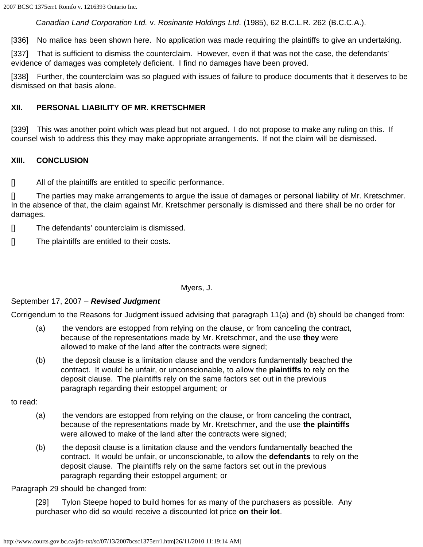*Canadian Land Corporation Ltd.* v. *Rosinante Holdings Ltd*. (1985), 62 B.C.L.R. 262 (B.C.C.A.).

[336] No malice has been shown here. No application was made requiring the plaintiffs to give an undertaking.

[337] That is sufficient to dismiss the counterclaim. However, even if that was not the case, the defendants' evidence of damages was completely deficient. I find no damages have been proved.

[338] Further, the counterclaim was so plagued with issues of failure to produce documents that it deserves to be dismissed on that basis alone.

#### **XII. PERSONAL LIABILITY OF MR. KRETSCHMER**

[339] This was another point which was plead but not argued. I do not propose to make any ruling on this. If counsel wish to address this they may make appropriate arrangements. If not the claim will be dismissed.

#### **XIII. CONCLUSION**

[] All of the plaintiffs are entitled to specific performance.

[] The parties may make arrangements to argue the issue of damages or personal liability of Mr. Kretschmer. In the absence of that, the claim against Mr. Kretschmer personally is dismissed and there shall be no order for damages.

- [] The defendants' counterclaim is dismissed.
- [] The plaintiffs are entitled to their costs.

#### Myers, J.

#### September 17, 2007 – *Revised Judgment*

Corrigendum to the Reasons for Judgment issued advising that paragraph 11(a) and (b) should be changed from:

- (a) the vendors are estopped from relying on the clause, or from canceling the contract, because of the representations made by Mr. Kretschmer, and the use **they** were allowed to make of the land after the contracts were signed;
- (b) the deposit clause is a limitation clause and the vendors fundamentally beached the contract. It would be unfair, or unconscionable, to allow the **plaintiffs** to rely on the deposit clause. The plaintiffs rely on the same factors set out in the previous paragraph regarding their estoppel argument; or

to read:

- (a) the vendors are estopped from relying on the clause, or from canceling the contract, because of the representations made by Mr. Kretschmer, and the use **the plaintiffs** were allowed to make of the land after the contracts were signed;
- (b) the deposit clause is a limitation clause and the vendors fundamentally beached the contract. It would be unfair, or unconscionable, to allow the **defendants** to rely on the deposit clause. The plaintiffs rely on the same factors set out in the previous paragraph regarding their estoppel argument; or

Paragraph 29 should be changed from:

[29] Tylon Steepe hoped to build homes for as many of the purchasers as possible. Any purchaser who did so would receive a discounted lot price **on their lot**.